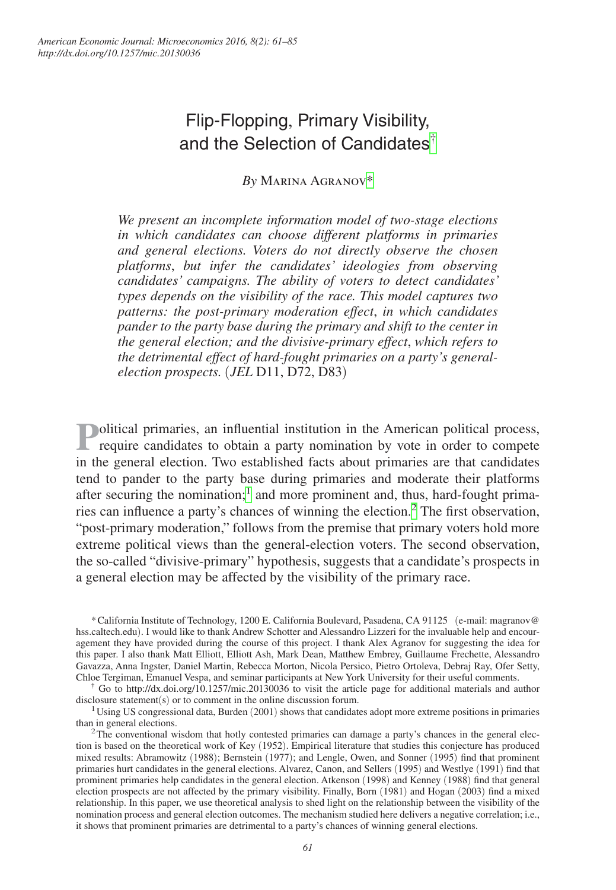# Flip-Flopping, Primary Visibility, and the Selection of Candidates[†](#page-0-0)

*By* Marina Agrano[v\\*](#page-0-1)

*We present an incomplete information model of two-stage elections in which candidates can choose different platforms in primaries and general elections. Voters do not directly observe the chosen platforms*, *but infer the candidates' ideologies from observing candidates' campaigns. The ability of voters to detect candidates' types depends on the visibility of the race. This model captures two patterns: the post-primary moderation effect*, *in which candidates pander to the party base during the primary and shift to the center in the general election; and the divisive-primary effect*, *which refers to the detrimental effect of hard-fought primaries on a party's generalelection prospects.* (*JEL* D11, D72, D83)

**Political primaries, an influential institution in the American political process, require candidates to obtain a party nomination by vote in order to compete** in the general election. Two established facts about primaries are that candidates tend to pander to the party base during primaries and moderate their platforms after securing the nomination;<sup>[1](#page-0-2)</sup> and more prominent and, thus, hard-fought prima-ries can influence a party's chances of winning the election.<sup>[2](#page-0-3)</sup> The first observation, "post-primary moderation," follows from the premise that primary voters hold more extreme political views than the general-election voters. The second observation, the so-called "divisive-primary" hypothesis, suggests that a candidate's prospects in a general election may be affected by the visibility of the primary race.

<span id="page-0-1"></span>\*California Institute of Technology, 1200 E. California Boulevard, Pasadena, CA 91125 (e-mail: magranov@ hss.caltech.edu). I would like to thank Andrew Schotter and Alessandro Lizzeri for the invaluable help and encouragement they have provided during the course of this project. I thank Alex Agranov for suggesting the idea for this paper. I also thank Matt Elliott, Elliott Ash, Mark Dean, Matthew Embrey, Guillaume Frechette, Alessandro Gavazza, Anna Ingster, Daniel Martin, Rebecca Morton, Nicola Persico, Pietro Ortoleva, Debraj Ray, Ofer Setty, Chloe Tergiman, Emanuel Vespa, and seminar participants at New York University for their useful comments.

<span id="page-0-0"></span>† Go to http://dx.doi.org/10.1257/mic.20130036 to visit the article page for additional materials and author disclosure statement(s) or to comment in the online discussion forum.

<span id="page-0-2"></span><sup>1</sup>Using US congressional data, Burden (2001) shows that candidates adopt more extreme positions in primaries than in general elections.

<span id="page-0-3"></span> $2$ The conventional wisdom that hotly contested primaries can damage a party's chances in the general election is based on the theoretical work of Key (1952). Empirical literature that studies this conjecture has produced mixed results: Abramowitz (1988); Bernstein (1977); and Lengle, Owen, and Sonner (1995) find that prominent primaries hurt candidates in the general elections. Alvarez, Canon, and Sellers (1995) and Westlye (1991) find that prominent primaries help candidates in the general election. Atkenson (1998) and Kenney (1988) find that general election prospects are not affected by the primary visibility. Finally, Born (1981) and Hogan (2003) find a mixed relationship. In this paper, we use theoretical analysis to shed light on the relationship between the visibility of the nomination process and general election outcomes. The mechanism studied here delivers a negative correlation; i.e., it shows that prominent primaries are detrimental to a party's chances of winning general elections.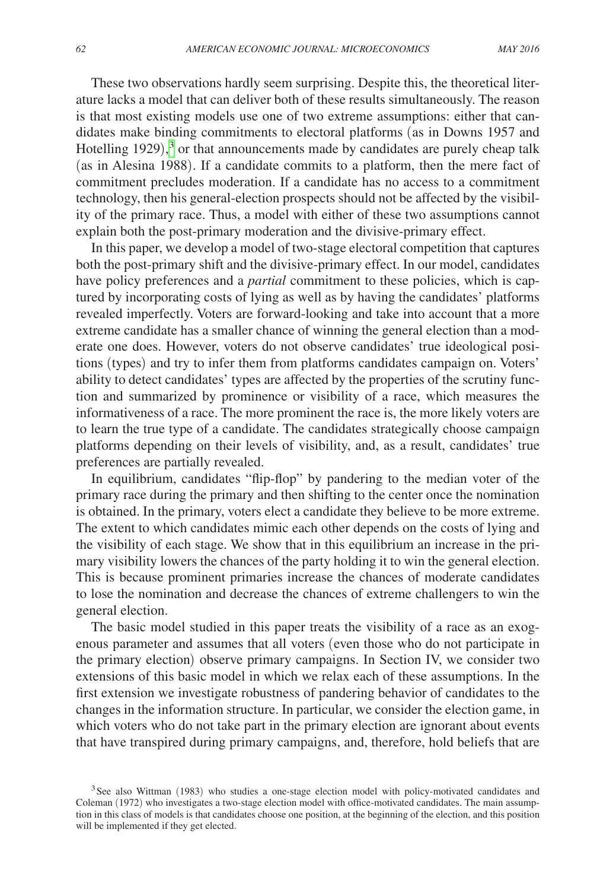These two observations hardly seem surprising. Despite this, the theoretical literature lacks a model that can deliver both of these results simultaneously. The reason is that most existing models use one of two extreme assumptions: either that candidates make binding commitments to electoral platforms (as in Downs 1957 and Hotelling 1929), [3](#page-1-0) or that announcements made by candidates are purely cheap talk (as in Alesina 1988). If a candidate commits to a platform, then the mere fact of commitment precludes moderation. If a candidate has no access to a commitment technology, then his general-election prospects should not be affected by the visibility of the primary race. Thus, a model with either of these two assumptions cannot explain both the post-primary moderation and the divisive-primary effect.

In this paper, we develop a model of two-stage electoral competition that captures both the post-primary shift and the divisive-primary effect. In our model, candidates have policy preferences and a *partial* commitment to these policies, which is captured by incorporating costs of lying as well as by having the candidates' platforms revealed imperfectly. Voters are forward-looking and take into account that a more extreme candidate has a smaller chance of winning the general election than a moderate one does. However, voters do not observe candidates' true ideological positions (types) and try to infer them from platforms candidates campaign on. Voters' ability to detect candidates' types are affected by the properties of the scrutiny function and summarized by prominence or visibility of a race, which measures the informativeness of a race. The more prominent the race is, the more likely voters are to learn the true type of a candidate. The candidates strategically choose campaign platforms depending on their levels of visibility, and, as a result, candidates' true preferences are partially revealed.

In equilibrium, candidates "flip-flop" by pandering to the median voter of the primary race during the primary and then shifting to the center once the nomination is obtained. In the primary, voters elect a candidate they believe to be more extreme. The extent to which candidates mimic each other depends on the costs of lying and the visibility of each stage. We show that in this equilibrium an increase in the primary visibility lowers the chances of the party holding it to win the general election. This is because prominent primaries increase the chances of moderate candidates to lose the nomination and decrease the chances of extreme challengers to win the general election.

The basic model studied in this paper treats the visibility of a race as an exogenous parameter and assumes that all voters (even those who do not participate in the primary election) observe primary campaigns. In Section IV, we consider two extensions of this basic model in which we relax each of these assumptions. In the first extension we investigate robustness of pandering behavior of candidates to the changes in the information structure. In particular, we consider the election game, in which voters who do not take part in the primary election are ignorant about events that have transpired during primary campaigns, and, therefore, hold beliefs that are

<span id="page-1-0"></span><sup>&</sup>lt;sup>3</sup>See also Wittman (1983) who studies a one-stage election model with policy-motivated candidates and Coleman (1972) who investigates a two-stage election model with office-motivated candidates. The main assumption in this class of models is that candidates choose one position, at the beginning of the election, and this position will be implemented if they get elected.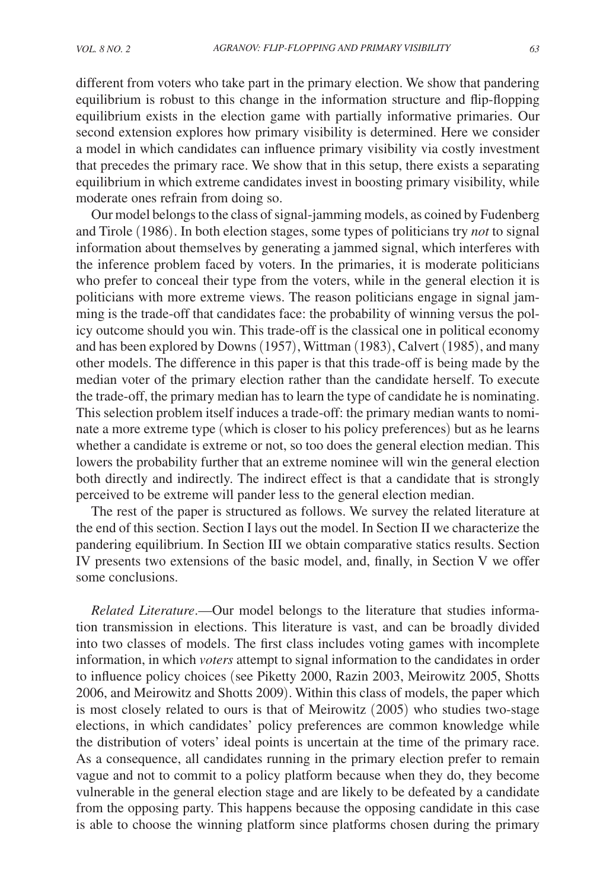different from voters who take part in the primary election. We show that pandering equilibrium is robust to this change in the information structure and flip-flopping equilibrium exists in the election game with partially informative primaries. Our second extension explores how primary visibility is determined. Here we consider a model in which candidates can influence primary visibility via costly investment that precedes the primary race. We show that in this setup, there exists a separating equilibrium in which extreme candidates invest in boosting primary visibility, while moderate ones refrain from doing so.

Our model belongs to the class of signal-jamming models, as coined by Fudenberg and Tirole (1986). In both election stages, some types of politicians try *not* to signal information about themselves by generating a jammed signal, which interferes with the inference problem faced by voters. In the primaries, it is moderate politicians who prefer to conceal their type from the voters, while in the general election it is politicians with more extreme views. The reason politicians engage in signal jamming is the trade-off that candidates face: the probability of winning versus the policy outcome should you win. This trade-off is the classical one in political economy and has been explored by Downs (1957), Wittman (1983), Calvert (1985), and many other models. The difference in this paper is that this trade-off is being made by the median voter of the primary election rather than the candidate herself. To execute the trade-off, the primary median has to learn the type of candidate he is nominating. This selection problem itself induces a trade-off: the primary median wants to nominate a more extreme type (which is closer to his policy preferences) but as he learns whether a candidate is extreme or not, so too does the general election median. This lowers the probability further that an extreme nominee will win the general election both directly and indirectly. The indirect effect is that a candidate that is strongly perceived to be extreme will pander less to the general election median.

The rest of the paper is structured as follows. We survey the related literature at the end of this section. Section I lays out the model. In Section II we characterize the pandering equilibrium. In Section III we obtain comparative statics results. Section IV presents two extensions of the basic model, and, finally, in Section V we offer some conclusions.

*Related Literature*.—Our model belongs to the literature that studies information transmission in elections. This literature is vast, and can be broadly divided into two classes of models. The first class includes voting games with incomplete information, in which *voters* attempt to signal information to the candidates in order to influence policy choices (see Piketty 2000, Razin 2003, Meirowitz 2005, Shotts 2006, and Meirowitz and Shotts 2009). Within this class of models, the paper which is most closely related to ours is that of Meirowitz (2005) who studies two-stage elections, in which candidates' policy preferences are common knowledge while the distribution of voters' ideal points is uncertain at the time of the primary race. As a consequence, all candidates running in the primary election prefer to remain vague and not to commit to a policy platform because when they do, they become vulnerable in the general election stage and are likely to be defeated by a candidate from the opposing party. This happens because the opposing candidate in this case is able to choose the winning platform since platforms chosen during the primary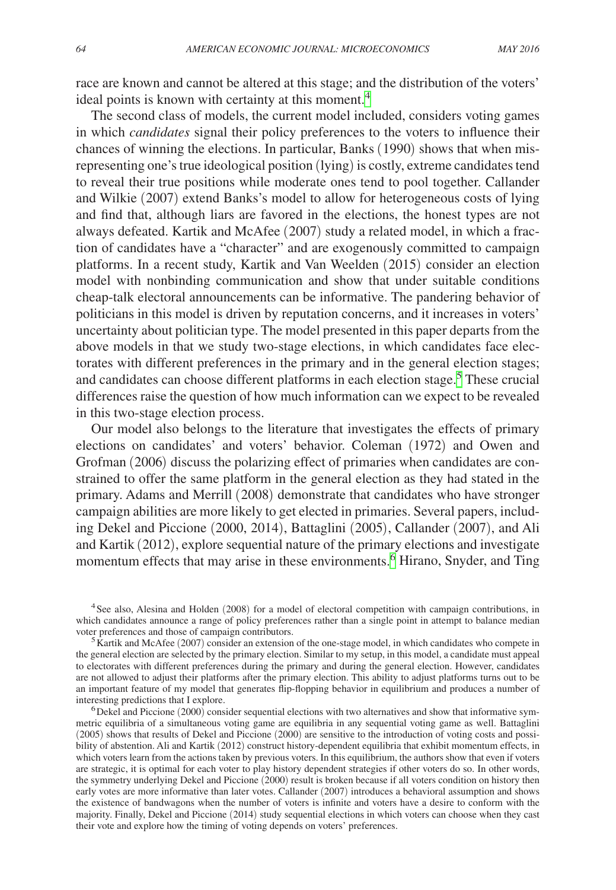race are known and cannot be altered at this stage; and the distribution of the voters' ideal points is known with certainty at this moment.<sup>[4](#page-3-0)</sup>

The second class of models, the current model included, considers voting games in which *candidates* signal their policy preferences to the voters to influence their chances of winning the elections. In particular, Banks (1990) shows that when misrepresenting one's true ideological position (lying) is costly, extreme candidates tend to reveal their true positions while moderate ones tend to pool together. Callander and Wilkie (2007) extend Banks's model to allow for heterogeneous costs of lying and find that, although liars are favored in the elections, the honest types are not always defeated. Kartik and McAfee (2007) study a related model, in which a fraction of candidates have a "character" and are exogenously committed to campaign platforms. In a recent study, Kartik and Van Weelden (2015) consider an election model with nonbinding communication and show that under suitable conditions cheap-talk electoral announcements can be informative. The pandering behavior of politicians in this model is driven by reputation concerns, and it increases in voters' uncertainty about politician type. The model presented in this paper departs from the above models in that we study two-stage elections, in which candidates face electorates with different preferences in the primary and in the general election stages; and candidates can choose different platforms in each election stage.<sup>[5](#page-3-1)</sup> These crucial differences raise the question of how much information can we expect to be revealed in this two-stage election process.

Our model also belongs to the literature that investigates the effects of primary elections on candidates' and voters' behavior. Coleman (1972) and Owen and Grofman (2006) discuss the polarizing effect of primaries when candidates are constrained to offer the same platform in the general election as they had stated in the primary. Adams and Merrill (2008) demonstrate that candidates who have stronger campaign abilities are more likely to get elected in primaries. Several papers, including Dekel and Piccione (2000, 2014), Battaglini (2005), Callander (2007), and Ali and Kartik (2012), explore sequential nature of the primary elections and investigate momentum effects that may arise in these environments.<sup>[6](#page-3-2)</sup> Hirano, Snyder, and Ting

<span id="page-3-0"></span><sup>4</sup>See also, Alesina and Holden (2008) for a model of electoral competition with campaign contributions, in which candidates announce a range of policy preferences rather than a single point in attempt to balance median voter preferences and those of campaign contributors.

<span id="page-3-1"></span><sup>5</sup> Kartik and McAfee (2007) consider an extension of the one-stage model, in which candidates who compete in the general election are selected by the primary election. Similar to my setup, in this model, a candidate must appeal to electorates with different preferences during the primary and during the general election. However, candidates are not allowed to adjust their platforms after the primary election. This ability to adjust platforms turns out to be an important feature of my model that generates flip-flopping behavior in equilibrium and produces a number of interesting predictions that I explore.

<span id="page-3-2"></span> $\delta$  Dekel and Piccione (2000) consider sequential elections with two alternatives and show that informative symmetric equilibria of a simultaneous voting game are equilibria in any sequential voting game as well. Battaglini (2005) shows that results of Dekel and Piccione (2000) are sensitive to the introduction of voting costs and possibility of abstention. Ali and Kartik (2012) construct history-dependent equilibria that exhibit momentum effects, in which voters learn from the actions taken by previous voters. In this equilibrium, the authors show that even if voters are strategic, it is optimal for each voter to play history dependent strategies if other voters do so. In other words, the symmetry underlying Dekel and Piccione (2000) result is broken because if all voters condition on history then early votes are more informative than later votes. Callander (2007) introduces a behavioral assumption and shows the existence of bandwagons when the number of voters is infinite and voters have a desire to conform with the majority. Finally, Dekel and Piccione (2014) study sequential elections in which voters can choose when they cast their vote and explore how the timing of voting depends on voters' preferences.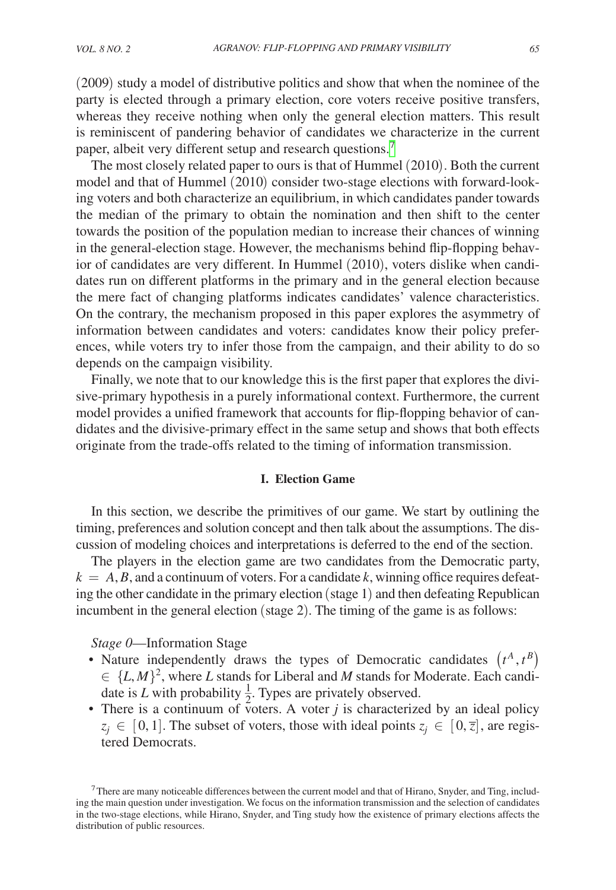(2009) study a model of distributive politics and show that when the nominee of the party is elected through a primary election, core voters receive positive transfers, whereas they receive nothing when only the general election matters. This result is reminiscent of pandering behavior of candidates we characterize in the current paper, albeit very different setup and research questions.<sup>7</sup>

The most closely related paper to ours is that of Hummel (2010). Both the current model and that of Hummel (2010) consider two-stage elections with forward-looking voters and both characterize an equilibrium, in which candidates pander towards the median of the primary to obtain the nomination and then shift to the center towards the position of the population median to increase their chances of winning in the general-election stage. However, the mechanisms behind flip-flopping behavior of candidates are very different. In Hummel (2010), voters dislike when candidates run on different platforms in the primary and in the general election because the mere fact of changing platforms indicates candidates' valence characteristics. On the contrary, the mechanism proposed in this paper explores the asymmetry of information between candidates and voters: candidates know their policy preferences, while voters try to infer those from the campaign, and their ability to do so depends on the campaign visibility.

Finally, we note that to our knowledge this is the first paper that explores the divisive-primary hypothesis in a purely informational context. Furthermore, the current model provides a unified framework that accounts for flip-flopping behavior of candidates and the divisive-primary effect in the same setup and shows that both effects originate from the trade-offs related to the timing of information transmission.

# **I. Election Game**

In this section, we describe the primitives of our game. We start by outlining the timing, preferences and solution concept and then talk about the assumptions. The discussion of modeling choices and interpretations is deferred to the end of the section.

The players in the election game are two candidates from the Democratic party,  $k = A, B$ , and a continuum of voters. For a candidate k, winning office requires defeating the other candidate in the primary election (stage 1) and then defeating Republican incumbent in the general election (stage 2). The timing of the game is as follows:

*Stage 0*—Information Stage

- Nature independently draws the types of Democratic candidates  $(t^A, t^B)$  $\in \{L, M\}^2$ , where *L* stands for Liberal and *M* stands for Moderate. Each candidate is *L* with probability  $\frac{1}{2}$ . Types are privately observed.
- There is a continuum of voters. A voter  $j$  is characterized by an ideal policy  $z_j \in [0, 1]$ . The subset of voters, those with ideal points  $z_j \in [0, \overline{z}]$ , are registered Democrats.

<span id="page-4-0"></span> $<sup>7</sup>$ There are many noticeable differences between the current model and that of Hirano, Snyder, and Ting, includ-</sup> ing the main question under investigation. We focus on the information transmission and the selection of candidates in the two-stage elections, while Hirano, Snyder, and Ting study how the existence of primary elections affects the distribution of public resources.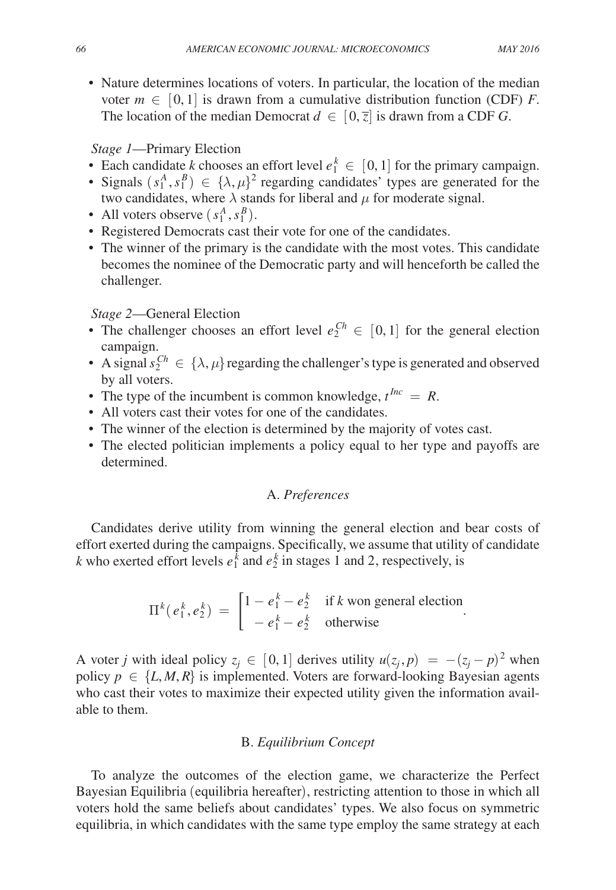• Nature determines locations of voters. In particular, the location of the median voter  $m \in [0, 1]$  is drawn from a cumulative distribution function (CDF) *F*. The location of the median Democrat  $d \in [0, \overline{z}]$  is drawn from a CDF *G*.

# *Stage 1*—Primary Election

- Each candidate *k* chooses an effort level  $e_1^k \in [0, 1]$  for the primary campaign.
- Signals  $(s_1^A, s_1^B) \in {\lambda, \mu}^2$  regarding candidates' types are generated for the two candidates, where  $\lambda$  stands for liberal and  $\mu$  for moderate signal.
- All voters observe  $(s_1^A, s_1^B)$ .
- Registered Democrats cast their vote for one of the candidates.
- The winner of the primary is the candidate with the most votes. This candidate becomes the nominee of the Democratic party and will henceforth be called the challenger.

# *Stage 2*—General Election

- The challenger chooses an effort level  $e_2^{Ch} \in [0,1]$  for the general election campaign.
- A signal  $s_2^{Ch} \in \{\lambda, \mu\}$  regarding the challenger's type is generated and observed by all voters.
- The type of the incumbent is common knowledge,  $t^{Inc} = R$ .
- All voters cast their votes for one of the candidates.
- The winner of the election is determined by the majority of votes cast.
- The elected politician implements a policy equal to her type and payoffs are determined.

# A. *Preferences*

Candidates derive utility from winning the general election and bear costs of effort exerted during the campaigns. Specifically, we assume that utility of candidate *k* who exerted effort levels  $e_1^{\overline{k}}$  and  $e_2^{\overline{k}}$  in stages 1 and 2, respectively, is

$$
\Pi^{k}(e_1^k, e_2^k) = \begin{bmatrix} 1 - e_1^k - e_2^k & \text{if } k \text{ won general election} \\ -e_1^k - e_2^k & \text{otherwise} \end{bmatrix}
$$

A voter *j* with ideal policy  $z_j \in [0, 1]$  derives utility  $u(z_j, p) = -(z_j - p)^2$  when policy  $p \in \{L, M, R\}$  is implemented. Voters are forward-looking Bayesian agents who cast their votes to maximize their expected utility given the information available to them.

# B. *Equilibrium Concept*

To analyze the outcomes of the election game, we characterize the Perfect Bayesian Equilibria (equilibria hereafter), restricting attention to those in which all voters hold the same beliefs about candidates' types. We also focus on symmetric equilibria, in which candidates with the same type employ the same strategy at each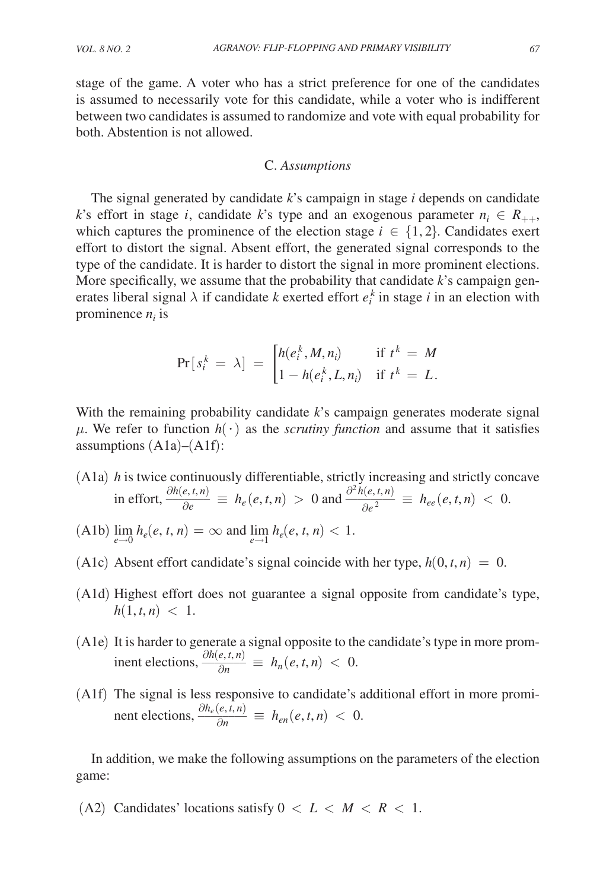stage of the game. A voter who has a strict preference for one of the candidates is assumed to necessarily vote for this candidate, while a voter who is indifferent between two candidates is assumed to randomize and vote with equal probability for both. Abstention is not allowed.

#### C. *Assumptions*

The signal generated by candidate *k*'s campaign in stage *i* depends on candidate *k*'s effort in stage *i*, candidate *k*'s type and an exogenous parameter  $n_i \in R_{++}$ , which captures the prominence of the election stage  $i \in \{1, 2\}$ . Candidates exert effort to distort the signal. Absent effort, the generated signal corresponds to the type of the candidate. It is harder to distort the signal in more prominent elections. More specifically, we assume that the probability that candidate *k*'s campaign generates liberal signal  $\lambda$  if candidate *k* exerted effort  $e_i^k$  in stage *i* in an election with prominence  $n_i$  is

$$
\Pr[s_i^k = \lambda] = \begin{cases} h(e_i^k, M, n_i) & \text{if } t^k = M \\ 1 - h(e_i^k, L, n_i) & \text{if } t^k = L. \end{cases}
$$

With the remaining probability candidate *k*'s campaign generates moderate signal  $\mu$ . We refer to function  $h(\cdot)$  as the *scrutiny function* and assume that it satisfies assumptions  $(A1a)–(A1f)$ :

- (A1a) *h* is twice continuously differentiable, strictly increasing and strictly concave in effort,  $\frac{\partial h(e,t,n)}{\partial e} \equiv h_e(e,t,n) > 0$  and  $\frac{\partial^2 h(e,t,n)}{\partial e^2} \equiv h_{ee}(e,t,n) < 0$ .
- $(A1b) \lim_{e \to 0} h_e(e, t, n) = \infty$  and  $\lim_{e \to 1} h_e(e, t, n) < 1$ .
- (A1c) Absent effort candidate's signal coincide with her type,  $h(0, t, n) = 0$ .
- (A1d) Highest effort does not guarantee a signal opposite from candidate's type,  $h(1, t, n) < 1.$
- (A1e) It is harder to generate a signal opposite to the candidate's type in more prominent elections,  $\frac{\partial h(e, t, n)}{\partial n} \equiv h_n(e, t, n) < 0.$
- (A1f) The signal is less responsive to candidate's additional effort in more prominent elections,  $\frac{\partial h_e(e,t,n)}{\partial n} \equiv h_{en}(e,t,n) < 0.$

In addition, we make the following assumptions on the parameters of the election game:

(A2) Candidates' locations satisfy  $0 < L < M < R < 1$ .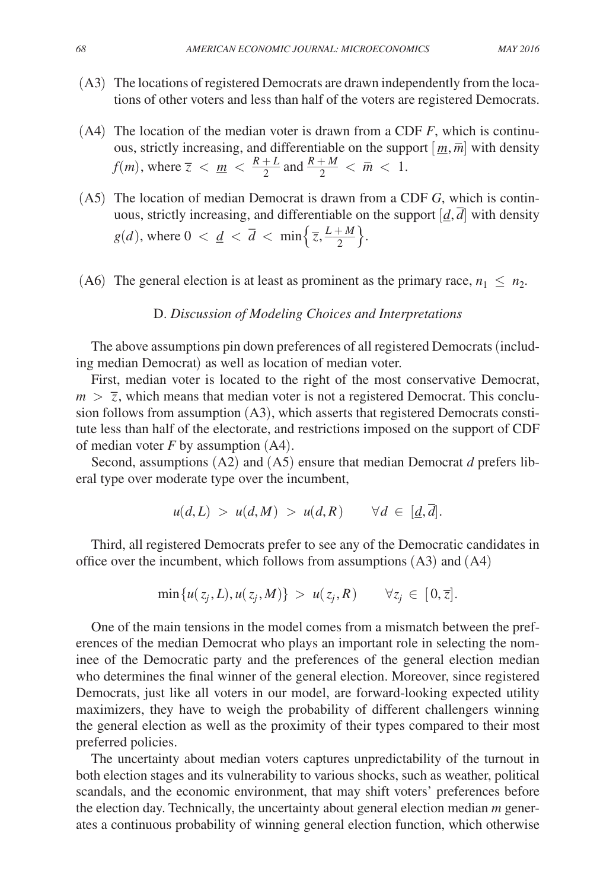- (A3) The locations of registered Democrats are drawn independently from the locations of other voters and less than half of the voters are registered Democrats.
- (A4) The location of the median voter is drawn from a CDF *F*, which is continuous, strictly increasing, and differentiable on the support  $[m, \overline{m}]$  with density *f*(*m*), where  $\overline{z}$  < <u>*m* <  $\frac{R+L}{2}$ </u>  $\frac{1+L}{2}$  and  $\frac{R+M}{2}$  $\frac{+M}{2} < \bar{m} < 1.$
- (A5) The location of median Democrat is drawn from a CDF *G*, which is continuous, strictly increasing, and differentiable on the support  $[\underline{d}, \overline{d}]$  with density  $g(d)$ , where  $0 < \underline{d} < \overline{d} < \min\left\{\overline{z}, \frac{L+M}{2}\right\}.$
- (A6) The general election is at least as prominent as the primary race,  $n_1 \leq n_2$ .

#### D. *Discussion of Modeling Choices and Interpretations*

The above assumptions pin down preferences of all registered Democrats (including median Democrat) as well as location of median voter.

First, median voter is located to the right of the most conservative Democrat,  $m > \overline{z}$ , which means that median voter is not a registered Democrat. This conclusion follows from assumption (A3), which asserts that registered Democrats constitute less than half of the electorate, and restrictions imposed on the support of CDF of median voter *F* by assumption (A4).

Second, assumptions (A2) and (A5) ensure that median Democrat *d* prefers liberal type over moderate type over the incumbent,

$$
u(d,L) > u(d,M) > u(d,R) \quad \forall d \in [\underline{d},d].
$$

Third, all registered Democrats prefer to see any of the Democratic candidates in office over the incumbent, which follows from assumptions (A3) and (A4)

$$
\min\{u(z_j, L), u(z_j, M)\} > u(z_j, R) \qquad \forall z_j \in [0, \overline{z}].
$$

One of the main tensions in the model comes from a mismatch between the preferences of the median Democrat who plays an important role in selecting the nominee of the Democratic party and the preferences of the general election median who determines the final winner of the general election. Moreover, since registered Democrats, just like all voters in our model, are forward-looking expected utility maximizers, they have to weigh the probability of different challengers winning the general election as well as the proximity of their types compared to their most preferred policies.

The uncertainty about median voters captures unpredictability of the turnout in both election stages and its vulnerability to various shocks, such as weather, political scandals, and the economic environment, that may shift voters' preferences before the election day. Technically, the uncertainty about general election median *m* generates a continuous probability of winning general election function, which otherwise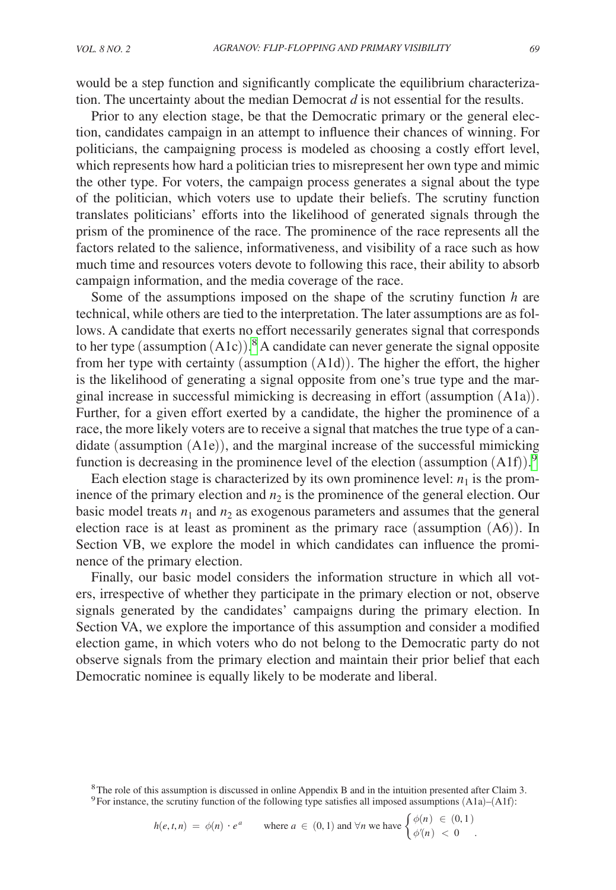would be a step function and significantly complicate the equilibrium characterization. The uncertainty about the median Democrat *d* is not essential for the results.

Prior to any election stage, be that the Democratic primary or the general election, candidates campaign in an attempt to influence their chances of winning. For politicians, the campaigning process is modeled as choosing a costly effort level, which represents how hard a politician tries to misrepresent her own type and mimic the other type. For voters, the campaign process generates a signal about the type of the politician, which voters use to update their beliefs. The scrutiny function translates politicians' efforts into the likelihood of generated signals through the prism of the prominence of the race. The prominence of the race represents all the factors related to the salience, informativeness, and visibility of a race such as how much time and resources voters devote to following this race, their ability to absorb campaign information, and the media coverage of the race.

Some of the assumptions imposed on the shape of the scrutiny function *h* are technical, while others are tied to the interpretation. The later assumptions are as follows. A candidate that exerts no effort necessarily generates signal that corresponds to her type (assumption  $(A1c)$ ).<sup>[8](#page-8-0)</sup> A candidate can never generate the signal opposite from her type with certainty (assumption (A1d)). The higher the effort, the higher is the likelihood of generating a signal opposite from one's true type and the marginal increase in successful mimicking is decreasing in effort (assumption (A1a)). Further, for a given effort exerted by a candidate, the higher the prominence of a race, the more likely voters are to receive a signal that matches the true type of a candidate (assumption (A1e)), and the marginal increase of the successful mimicking function is decreasing in the prominence level of the election (assumption  $(A1f)$ ).<sup>[9](#page-8-1)</sup>

Each election stage is characterized by its own prominence level:  $n_1$  is the prominence of the primary election and  $n_2$  is the prominence of the general election. Our basic model treats  $n_1$  and  $n_2$  as exogenous parameters and assumes that the general election race is at least as prominent as the primary race (assumption (A6)). In Section VB, we explore the model in which candidates can influence the prominence of the primary election.

Finally, our basic model considers the information structure in which all voters, irrespective of whether they participate in the primary election or not, observe signals generated by the candidates' campaigns during the primary election. In Section VA, we explore the importance of this assumption and consider a modified election game, in which voters who do not belong to the Democratic party do not observe signals from the primary election and maintain their prior belief that each Democratic nominee is equally likely to be moderate and liberal.

<span id="page-8-1"></span><sup>9</sup> For instance, the scrutiny function of the following type satisfies all imposed assumptions (A1a)–(A1f):  
\n
$$
h(e, t, n) = \phi(n) \cdot e^a \quad \text{where } a \in (0, 1) \text{ and } \forall n \text{ we have } \begin{cases} \phi(n) \in (0, 1) \\ \phi'(n) < 0 \end{cases}.
$$

<span id="page-8-0"></span><sup>8</sup>The role of this assumption is discussed in online Appendix B and in the intuition presented after Claim 3.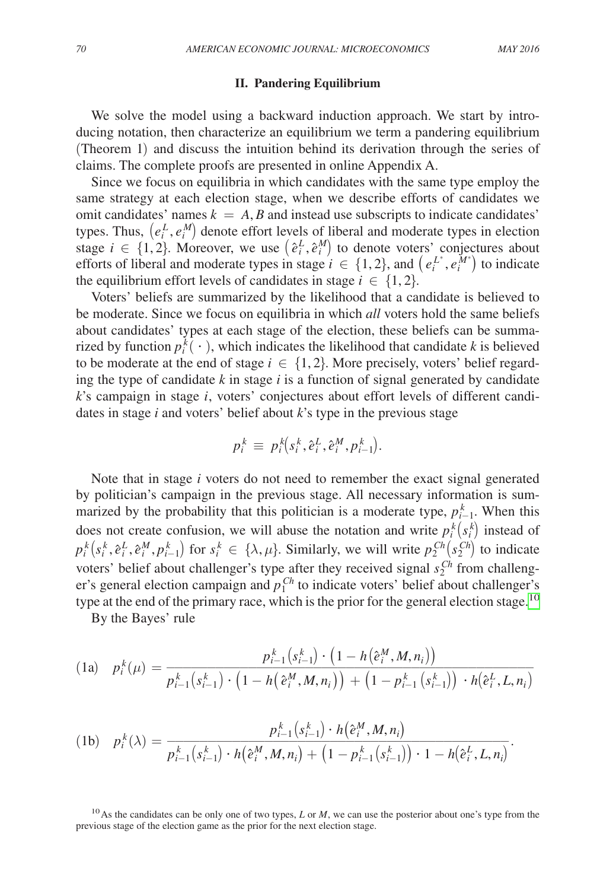f,

### **II. Pandering Equilibrium**

We solve the model using a backward induction approach. We start by introducing notation, then characterize an equilibrium we term a pandering equilibrium (Theorem 1) and discuss the intuition behind its derivation through the series of claims. The complete proofs are presented in online Appendix A.

Since we focus on equilibria in which candidates with the same type employ the same strategy at each election stage, when we describe efforts of candidates we omit candidates' names  $k = A$ , *B* and instead use subscripts to indicate candidates' types. Thus,  $(e_i^L, e_i^M)$  denote effort levels of liberal and moderate types in election stage  $i \in \{1, 2\}$ . Moreover, we use  $(e_i^L, e_i^M)$  to denote voters' conjectures about efforts of liberal and moderate types in stage  $i \in \{1, 2\}$ , and  $(e_i^{L^*}, e_i^{M^*})$  to indicate the equilibrium effort levels of candidates in stage  $i \in \{1, 2\}$ .

Voters' beliefs are summarized by the likelihood that a candidate is believed to be moderate. Since we focus on equilibria in which *all* voters hold the same beliefs about candidates' types at each stage of the election, these beliefs can be summarized by function  $p_i^k(\cdot)$ , which indicates the likelihood that candidate *k* is believed to be moderate at the end of stage  $i \in \{1, 2\}$ . More precisely, voters' belief regarding the type of candidate *k* in stage *i* is a function of signal generated by candidate *k*'s campaign in stage *i*, voters' conjectures about effort levels of different candidates in stage *i* and voters' belief about *k*'s type in the previous stage

$$
p_i^k \, \equiv \, p_i^k\hspace{-3pt}\left(s_i^k,\hat{\boldsymbol{e}}_i^L,\hat{\boldsymbol{e}}_i^M,p_{i-1}^k\hspace{-3pt}\right)\hspace{-3pt}.
$$

Note that in stage *i* voters do not need to remember the exact signal generated by politician's campaign in the previous stage. All necessary information is summarized by the probability that this politician is a moderate type,  $p_{i-1}^k$ . When this does not create confusion, we will abuse the notation and write  $p_i^k(s_i^k)$  instead of  $p_i^k(s_i^k, \hat{e}_i^L, \hat{e}_i^M, p_{i-1}^k)$  for  $s_i^k \in \{\lambda, \mu\}$ . Similarly, we will write  $p_2^{Ch}(s_2^{Ch})$  to indicate voters' belief about challenger's type after they received signal  $s_2^{Ch}$  from challenger's general election campaign and  $p_1^{Ch}$  to indicate voters' belief about challenger's type at the end of the primary race, which is the prior for the general election stage.<sup>10</sup>

By the Bayes' rule

(1a) 
$$
p_i^k(\mu) = \frac{p_{i-1}^k(s_{i-1}^k) \cdot (1 - h(\hat{e}_i^M, M, n_i))}{p_{i-1}^k(s_{i-1}^k) \cdot (1 - h(\hat{e}_i^M, M, n_i)) + (1 - p_{i-1}^k(s_{i-1}^k)) \cdot h(\hat{e}_i^L, L, n_i)}
$$

$$
(1b) \quad p_i^k(\lambda) = \frac{p_{i-1}^k(s_{i-1}^k) \cdot h(e_i^M, M, n_i)}{p_{i-1}^k(s_{i-1}^k) \cdot h(e_i^M, M, n_i) + (1 - p_{i-1}^k(s_{i-1}^k)) \cdot 1 - h(e_i^L, L, n_i)}.
$$

<span id="page-9-0"></span>10As the candidates can be only one of two types, *L* or *M*, we can use the posterior about one's type from the previous stage of the election game as the prior for the next election stage.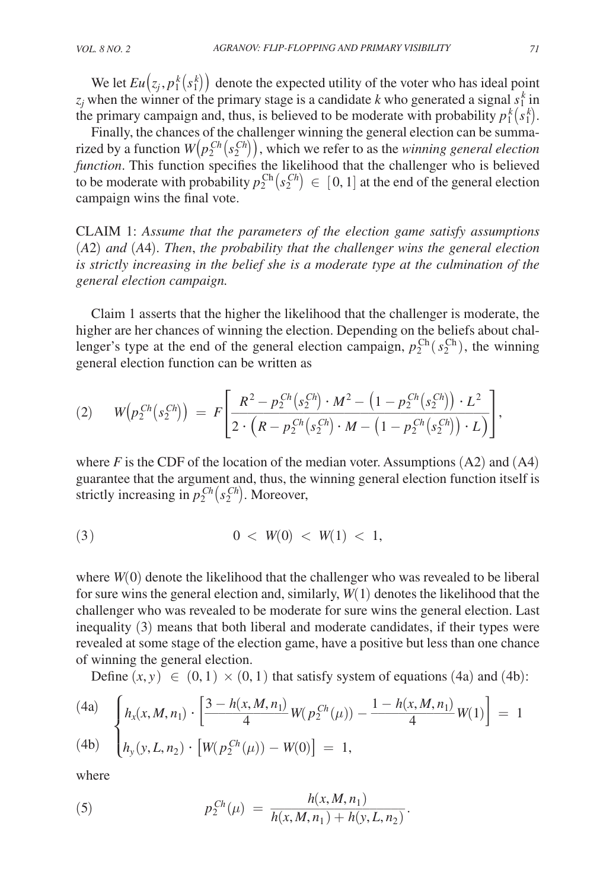We let  $Eu(z_j, p_1^k(s_1^k))$  denote the expected utility of the voter who has ideal point  $z_j$  when the winner of the primary stage is a candidate *k* who generated a signal  $s_1^k$  in the primary campaign and, thus, is believed to be moderate with probability  $p_1^k(s_1^k)$ .

Finally, the chances of the challenger winning the general election can be summarized by a function  $W(p_2^{Ch}(s_2^{Ch}))$ , which we refer to as the *winning general election function*. This function specifies the likelihood that the challenger who is believed to be moderate with probability  $p_2^{\text{Ch}}(s_2^{\text{Ch}}) \in [0,1]$  at the end of the general election campaign wins the final vote.

Claim 1: *Assume that the parameters of the election game satisfy assumptions*  (*A*2) *and* (*A*4)*. Then*, *the probability that the challenger wins the general election is strictly increasing in the belief she is a moderate type at the culmination of the general election campaign.*

Claim 1 asserts that the higher the likelihood that the challenger is moderate, the higher are her chances of winning the election. Depending on the beliefs about challenger's type at the end of the general election campaign,  $p_2^{\text{Ch}}(s_2^{\text{Ch}})$ , the winning general election function can be written as

general electron function can be written as  
\n(2) 
$$
W(p_2^{Ch}(s_2^{Ch})) = F\left[\frac{R^2 - p_2^{Ch}(s_2^{Ch}) \cdot M^2 - (1 - p_2^{Ch}(s_2^{Ch})) \cdot L^2}{2 \cdot (R - p_2^{Ch}(s_2^{Ch}) \cdot M - (1 - p_2^{Ch}(s_2^{Ch})) \cdot L)}\right],
$$

where  $F$  is the CDF of the location of the median voter. Assumptions (A2) and (A4) guarantee that the argument and, thus, the winning general election function itself is strictly increasing in  $p_2^{Ch}(s_2^{Ch})$ . Moreover,

$$
(3) \t\t 0 < W(0) < W(1) < 1,
$$

where *W*(0) denote the likelihood that the challenger who was revealed to be liberal for sure wins the general election and, similarly, *W*(1) denotes the likelihood that the challenger who was revealed to be moderate for sure wins the general election. Last inequality (3) means that both liberal and moderate candidates, if their types were revealed at some stage of the election game, have a positive but less than one chance of winning the general election.  $\frac{1}{2}$ 

Define  $(x, y) \in (0, 1) \times (0, 1)$  that satisfy system of equations (4a) and (4b):

(4a)  
\n
$$
\begin{cases}\nh_x(x, M, n_1) \cdot \left[\frac{3 - h(x, M, n_1)}{4} W(p_2^{Ch}(\mu)) - \frac{1 - h(x, M, n_1)}{4} W(1)\right] = 1 \\
h_y(y, L, n_2) \cdot \left[W(p_2^{Ch}(\mu)) - W(0)\right] = 1,\n\end{cases}
$$

where

where  
(5) 
$$
p_2^{Ch}(\mu) = \frac{h(x, M, n_1)}{h(x, M, n_1) + h(y, L, n_2)}.
$$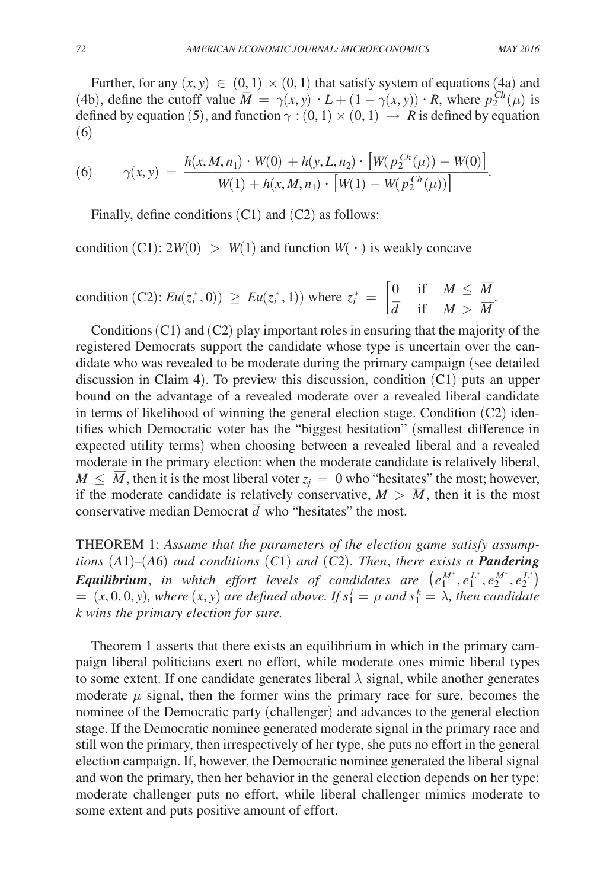Further, for any  $(x, y) \in (0, 1) \times (0, 1)$  that satisfy system of equations (4a) and (4b), define the cutoff value  $\overline{M} = \gamma(x, y) \cdot L + (1 - \gamma(x, y)) \cdot R$ , where  $p_2^{Ch}(\mu)$  is defined by equation (5), and function  $\gamma$  : (0, 1)  $\times$  (0, 1)  $\rightarrow$  *R* is defined by equation (6)

(6)  
\n
$$
\gamma(x, y) = \frac{h(x, M, n_1) \cdot W(0) + h(y, L, n_2) \cdot [W(p_2^{Ch}(\mu)) - W(0)]}{W(1) + h(x, M, n_1) \cdot [W(1) - W(p_2^{Ch}(\mu))]}.
$$

Finally, define conditions  $(C1)$  and  $(C2)$  as follows:

condition  $(C1)$ :  $2W(0) > W(1)$  and function  $W(\cdot)$  is weakly concave

condition (C2): 
$$
Eu(z_i^*, 0) \ge Eu(z_i^*, 1)
$$
 where  $z_i^* = \begin{bmatrix} 0 & \text{if } M \le \overline{M} \\ \overline{d} & \text{if } M > \overline{M} \end{bmatrix}$   
Conditions (C1) and (C2) play important roles in ensuring that the majority of the

registered Democrats support the candidate whose type is uncertain over the candidate who was revealed to be moderate during the primary campaign (see detailed discussion in Claim 4). To preview this discussion, condition (C1) puts an upper bound on the advantage of a revealed moderate over a revealed liberal candidate in terms of likelihood of winning the general election stage. Condition (C2) identifies which Democratic voter has the "biggest hesitation" (smallest difference in expected utility terms) when choosing between a revealed liberal and a revealed moderate in the primary election: when the moderate candidate is relatively liberal,<br> $M \leq \overline{M}$  then it is the most liberal voter  $z = 0$  who "hesitates" the most however.  $M \leq \overline{M}$ , then it is the most liberal voter  $z_j = 0$  who "hesitates" the most; however, if the moderate candidate is relatively conservative  $M \geq \overline{M}$ , then it is the most if the moderate candidate is relatively conservative,  $M > \overline{M}$ , then it is the most If the moderate candidate is relatively conservative,  $\vec{m} >$  conservative median Democrat  $\vec{d}$  who "hesitates" the most.

THEOREM 1: *Assume that the parameters of the election game satisfy assumptions* (*A*1)*–*(*A*6) *and conditions* (*C*1) *and* (*C*2)*. Then*, *there exists a Pandering Equilibrium*, *in which effort levels of candidates are*  $(e_1^{M^*}, e_1^{L^*}, e_2^{M^*}, e_2^{L^*})$  $= (x, 0, 0, y)$ *, where*  $(x, y)$  are defined above. If  $s_1^l = \mu$  and  $s_1^k = \lambda$ *, then candidate k wins the primary election for sure.*

Theorem 1 asserts that there exists an equilibrium in which in the primary campaign liberal politicians exert no effort, while moderate ones mimic liberal types to some extent. If one candidate generates liberal  $\lambda$  signal, while another generates moderate  $\mu$  signal, then the former wins the primary race for sure, becomes the nominee of the Democratic party (challenger) and advances to the general election stage. If the Democratic nominee generated moderate signal in the primary race and still won the primary, then irrespectively of her type, she puts no effort in the general election campaign. If, however, the Democratic nominee generated the liberal signal and won the primary, then her behavior in the general election depends on her type: moderate challenger puts no effort, while liberal challenger mimics moderate to some extent and puts positive amount of effort.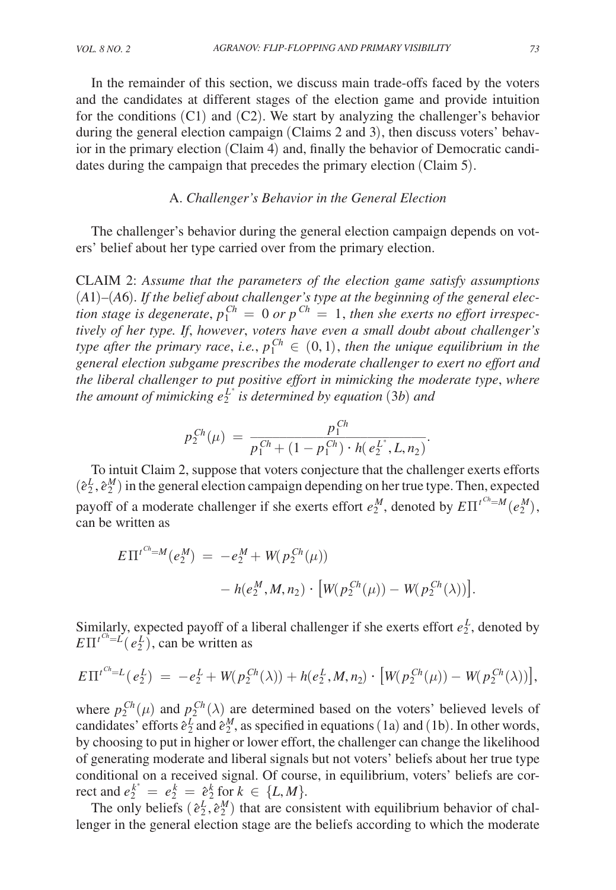In the remainder of this section, we discuss main trade-offs faced by the voters and the candidates at different stages of the election game and provide intuition for the conditions  $(C1)$  and  $(C2)$ . We start by analyzing the challenger's behavior during the general election campaign (Claims 2 and 3), then discuss voters' behavior in the primary election (Claim 4) and, finally the behavior of Democratic candidates during the campaign that precedes the primary election (Claim 5).

# A. *Challenger's Behavior in the General Election*

The challenger's behavior during the general election campaign depends on voters' belief about her type carried over from the primary election.

Claim 2: *Assume that the parameters of the election game satisfy assumptions*  (*A*1)*–*(*A*6)*. If the belief about challenger's type at the beginning of the general election stage is degenerate,*  $p_1^{Ch} = 0$  *or*  $p^{Ch} = 1$ *, then she exerts no effort irrespectively of her type. If*, *however*, *voters have even a small doubt about challenger's type after the primary race, i.e.,*  $p_1^{Ch} \in (0,1)$ *, then the unique equilibrium in the general election subgame prescribes the moderate challenger to exert no effort and the liberal challenger to put positive effort in mimicking the moderate type*, *where the amount of mimicking*  $e_2^{L^*}$  *is determined by equation* (3*b*) and

The amount of mimicking 
$$
e_2
$$
 is determined by equation (3*v*) and  
\n
$$
p_2^{Ch}(\mu) = \frac{p_1^{Ch}}{p_1^{Ch} + (1 - p_1^{Ch}) \cdot h(e_2^{L^*}, L, n_2)}.
$$
\nTo limit Claim 2, suppose that vertex conjecture that the abal

To intuit Claim 2, suppose that voters conjecture that the challenger exerts efforts  $(\hat{e}_2^L, \hat{e}_2^M)$  in the general election campaign depending on her true type. Then, expected payoff of a moderate challenger if she exerts effort  $e_2^M$ , denoted by  $E\Pi^{t^{Ch}=M}(e_2^M)$ , can be written as

$$
E\Pi^{t^{Ch}=M}(e_2^M) = -e_2^M + W(p_2^{Ch}(\mu))
$$
  
- h(e\_2^M, M, n\_2) \cdot [W(p\_2^{Ch}(\mu)) - W(p\_2^{Ch}(\lambda))].

Similarly, expected payoff of a liberal challenger if she exerts effort  $e_2^L$ , denoted by  $E\Pi^{t^{Ch}=L}(e_2^L)$ , can be written as

$$
E\Pi^{t^{Ch}=L}(e_2^L) = -e_2^L + W(p_2^{Ch}(\lambda)) + h(e_2^L, M, n_2) \cdot [W(p_2^{Ch}(\mu)) - W(p_2^{Ch}(\lambda))],
$$

where  $p_2^{Ch}(\mu)$  and  $p_2^{Ch}(\lambda)$  are determined based on the voters' believed levels of candidates' efforts  $\hat{e}^L_2$  and  $\hat{e}^M_2$ , as specified in equations (1a) and (1b). In other words, by choosing to put in higher or lower effort, the challenger can change the likelihood of generating moderate and liberal signals but not voters' beliefs about her true type conditional on a received signal. Of course, in equilibrium, voters' beliefs are cor- $\text{rect and } e_2^{k^*} = e_2^k = e_2^k \text{ for } k \in \{L, M\}.$ 

The only beliefs  $(e_2^L, e_2^M)$  that are consistent with equilibrium behavior of challenger in the general election stage are the beliefs according to which the moderate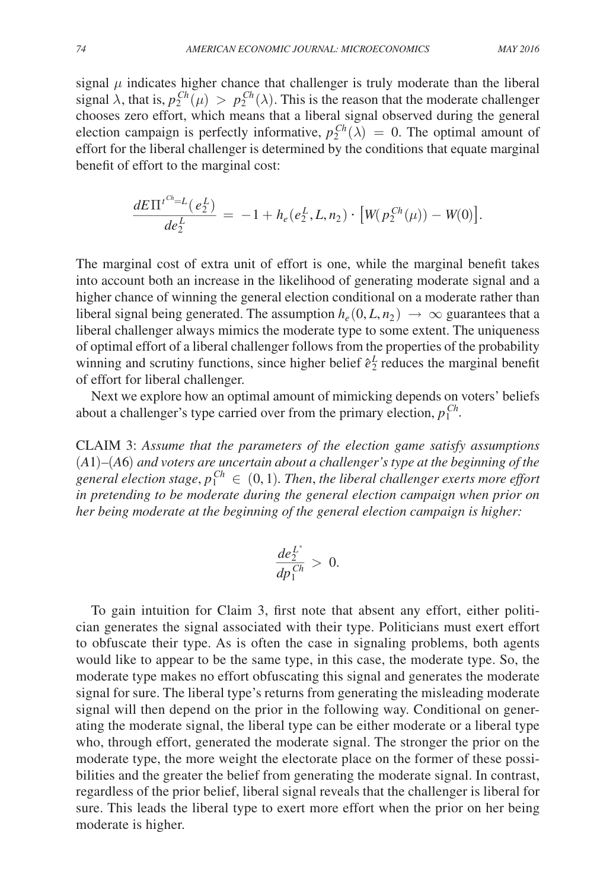signal  $\mu$  indicates higher chance that challenger is truly moderate than the liberal signal  $\lambda$ , that is,  $p_2^{Ch}(\mu) > p_2^{Ch}(\lambda)$ . This is the reason that the moderate challenger chooses zero effort, which means that a liberal signal observed during the general election campaign is perfectly informative,  $p_2^{Ch}(\lambda) = 0$ . The optimal amount of effort for the liberal challenger is determined by the conditions that equate marginal benefit of effort to the marginal cost:

$$
\frac{dE\Pi^{t^{Ch}=L}(e_2^L)}{de_2^L} = -1 + h_e(e_2^L, L, n_2) \cdot [W(p_2^{Ch}(\mu)) - W(0)].
$$

The marginal cost of extra unit of effort is one, while the marginal benefit takes into account both an increase in the likelihood of generating moderate signal and a higher chance of winning the general election conditional on a moderate rather than liberal signal being generated. The assumption  $h_e(0, L, n_2) \rightarrow \infty$  guarantees that a liberal challenger always mimics the moderate type to some extent. The uniqueness of optimal effort of a liberal challenger follows from the properties of the probability winning and scrutiny functions, since higher belief  $\hat{e}^L$  reduces the marginal benefit of effort for liberal challenger.

Next we explore how an optimal amount of mimicking depends on voters' beliefs about a challenger's type carried over from the primary election,  $p_1^{Ch}$ .

Claim 3: *Assume that the parameters of the election game satisfy assumptions*  (*A*1)*–*(*A*6) *and voters are uncertain about a challenger's type at the beginning of the*  general election stage,  $p_1^{Ch} \in (0,1)$ . Then, the liberal challenger exerts more effort *in pretending to be moderate during the general election campaign when prior on her being moderate at the beginning of the general election campaign is higher:*

$$
\frac{de_2^{L^*}}{dp_1^{Ch}} > \ 0.
$$

To gain intuition for Claim 3, first note that absent any effort, either politician generates the signal associated with their type. Politicians must exert effort to obfuscate their type. As is often the case in signaling problems, both agents would like to appear to be the same type, in this case, the moderate type. So, the moderate type makes no effort obfuscating this signal and generates the moderate signal for sure. The liberal type's returns from generating the misleading moderate signal will then depend on the prior in the following way. Conditional on generating the moderate signal, the liberal type can be either moderate or a liberal type who, through effort, generated the moderate signal. The stronger the prior on the moderate type, the more weight the electorate place on the former of these possibilities and the greater the belief from generating the moderate signal. In contrast, regardless of the prior belief, liberal signal reveals that the challenger is liberal for sure. This leads the liberal type to exert more effort when the prior on her being moderate is higher.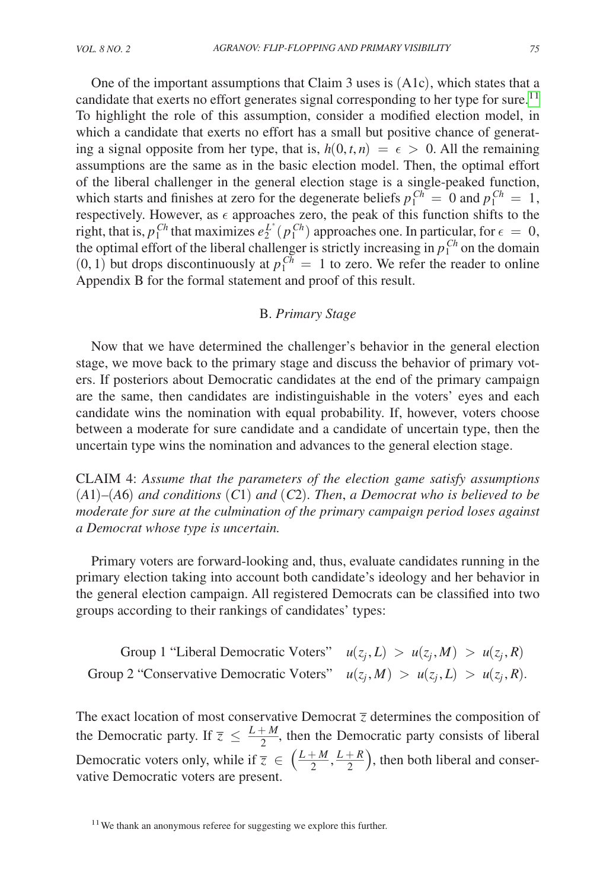One of the important assumptions that Claim 3 uses is (A1c), which states that a candidate that exerts no effort generates signal corresponding to her type for sure.<sup>11</sup> To highlight the role of this assumption, consider a modified election model, in which a candidate that exerts no effort has a small but positive chance of generating a signal opposite from her type, that is,  $h(0, t, n) = \epsilon > 0$ . All the remaining assumptions are the same as in the basic election model. Then, the optimal effort of the liberal challenger in the general election stage is a single-peaked function, which starts and finishes at zero for the degenerate beliefs  $p_1^{Ch} = 0$  and  $p_1^{Ch} = 1$ , respectively. However, as  $\epsilon$  approaches zero, the peak of this function shifts to the right, that is,  $p_1^{Ch}$  that maximizes  $e_2^{L^*}(p_1^{Ch})$  approaches one. In particular, for  $\epsilon = 0$ , the optimal effort of the liberal challenger is strictly increasing in  $p_1^{Ch}$  on the domain  $(0, 1)$  but drops discontinuously at  $p_1^{Ch} = 1$  to zero. We refer the reader to online Appendix B for the formal statement and proof of this result.

# B. *Primary Stage*

Now that we have determined the challenger's behavior in the general election stage, we move back to the primary stage and discuss the behavior of primary voters. If posteriors about Democratic candidates at the end of the primary campaign are the same, then candidates are indistinguishable in the voters' eyes and each candidate wins the nomination with equal probability. If, however, voters choose between a moderate for sure candidate and a candidate of uncertain type, then the uncertain type wins the nomination and advances to the general election stage.

Claim 4: *Assume that the parameters of the election game satisfy assumptions*  (*A*1)*–*(*A*6) *and conditions* (*C*1) *and* (*C*2)*. Then*, *a Democrat who is believed to be moderate for sure at the culmination of the primary campaign period loses against a Democrat whose type is uncertain.*

Primary voters are forward-looking and, thus, evaluate candidates running in the primary election taking into account both candidate's ideology and her behavior in the general election campaign. All registered Democrats can be classified into two groups according to their rankings of candidates' types:

Group 1 "Liberal Democratic Voters"  $u(z_j, L) > u(z_j, M) > u(z_j, R)$ Equivalently according to their rankings of candidates' types:<br>
Group 1 "Liberal Democratic Voters"  $u(z_j, L) > u(z_j, M) > u(z_j, R)$ .<br>
Group 2 "Conservative Democratic Voters"  $u(z_j, M) > u(z_j, L) > u(z_j, R)$ .

The exact location of most conservative Democrat  $\overline{z}$  determines the composition of the Democratic party. If  $\overline{z} \leq \frac{L + M}{2}$ , then the Democratic party consists of liberal Democratic voters only, while if  $\overline{z} \in \left(\frac{L+M}{2}, \frac{L+R}{2}\right)$ , then both liberal and conservative Democratic voters are present.

<span id="page-14-0"></span><sup>&</sup>lt;sup>11</sup>We thank an anonymous referee for suggesting we explore this further.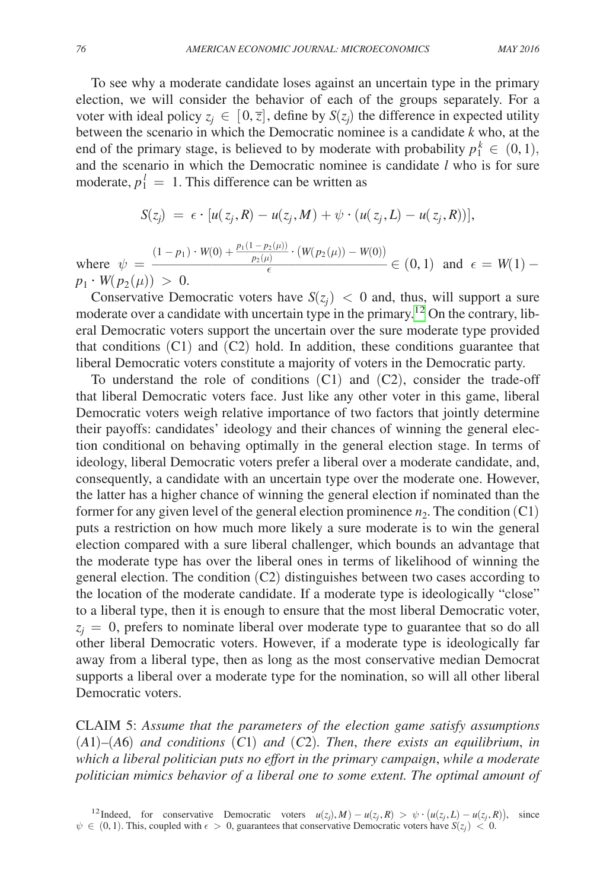To see why a moderate candidate loses against an uncertain type in the primary election, we will consider the behavior of each of the groups separately. For a voter with ideal policy  $z_j \in [0, \overline{z}]$ , define by  $S(z_j)$  the difference in expected utility between the scenario in which the Democratic nominee is a candidate *k* who, at the end of the primary stage, is believed to by moderate with probability  $p_1^k \in (0,1)$ , and the scenario in which the Democratic nominee is candidate *l* who is for sure moderate,  $p_1^l = 1$ . This difference can be written as

$$
S(z_j) = \epsilon \cdot [u(z_j, R) - u(z_j, M) + \psi \cdot (u(z_j, L) - u(z_j, R))],
$$

where  $\psi =$  $(1-p_1)\cdot W(0)+\frac{1}{2}$  $p(z_j) = e^{\lambda} [u(z_j, \mathbf{A}) - u(z_j, \mathbf{M}) + \psi^{\lambda} (u(z_j, L) - u(z_j, \mathbf{A}))],$ <br>  $p(z_j) + p(y_j) + \frac{p_1(1 - p_2(\mu))}{p_2(\mu)} \cdot (W(p_2(\mu)) - W(0)) \in (0, 1) \text{ and } \epsilon = W(1) - \epsilon$ <br>  $p(z_j) \geq 0 \text{ and, thus, will support a sure.}$  $p_1 \cdot W(p_2(\mu)) > 0.$ 

Conservative Democratic voters have  $S(z_i) < 0$  and, thus, will support a sure moderate over a candidate with uncertain type in the primary.[12](#page-15-0) On the contrary, liberal Democratic voters support the uncertain over the sure moderate type provided that conditions (C1) and (C2) hold. In addition, these conditions guarantee that liberal Democratic voters constitute a majority of voters in the Democratic party.

To understand the role of conditions  $(C1)$  and  $(C2)$ , consider the trade-off that liberal Democratic voters face. Just like any other voter in this game, liberal Democratic voters weigh relative importance of two factors that jointly determine their payoffs: candidates' ideology and their chances of winning the general election conditional on behaving optimally in the general election stage. In terms of ideology, liberal Democratic voters prefer a liberal over a moderate candidate, and, consequently, a candidate with an uncertain type over the moderate one. However, the latter has a higher chance of winning the general election if nominated than the former for any given level of the general election prominence  $n_2$ . The condition (C1) puts a restriction on how much more likely a sure moderate is to win the general election compared with a sure liberal challenger, which bounds an advantage that the moderate type has over the liberal ones in terms of likelihood of winning the general election. The condition (C2) distinguishes between two cases according to the location of the moderate candidate. If a moderate type is ideologically "close" to a liberal type, then it is enough to ensure that the most liberal Democratic voter,  $z_i = 0$ , prefers to nominate liberal over moderate type to guarantee that so do all other liberal Democratic voters. However, if a moderate type is ideologically far away from a liberal type, then as long as the most conservative median Democrat supports a liberal over a moderate type for the nomination, so will all other liberal Democratic voters.

<span id="page-15-0"></span>Claim 5: *Assume that the parameters of the election game satisfy assumptions*  (*A*1)*–*(*A*6) *and conditions* (*C*1) *and* (*C*2)*. Then*, *there exists an equilibrium*, *in which a liberal politician puts no effort in the primary campaign*, *while a moderate politician mimics behavior of a liberal one to some extent. The optimal amount of*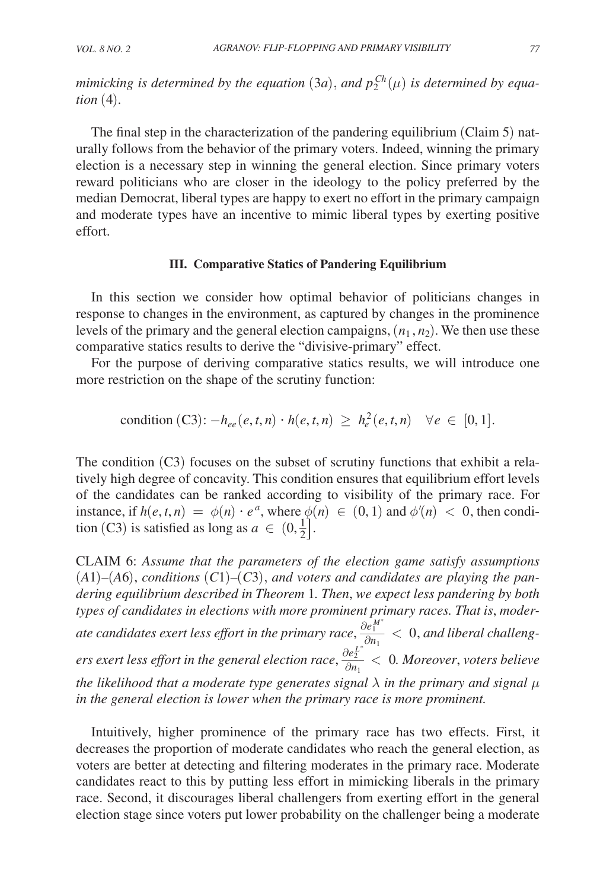*mimicking is determined by the equation*  $(3a)$ , and  $p_2^{Ch}(\mu)$  is determined by equa*tion* (4)*.*

The final step in the characterization of the pandering equilibrium (Claim 5) naturally follows from the behavior of the primary voters. Indeed, winning the primary election is a necessary step in winning the general election. Since primary voters reward politicians who are closer in the ideology to the policy preferred by the median Democrat, liberal types are happy to exert no effort in the primary campaign and moderate types have an incentive to mimic liberal types by exerting positive effort.

### **III. Comparative Statics of Pandering Equilibrium**

In this section we consider how optimal behavior of politicians changes in response to changes in the environment, as captured by changes in the prominence levels of the primary and the general election campaigns,  $(n_1, n_2)$ . We then use these comparative statics results to derive the "divisive-primary" effect.

For the purpose of deriving comparative statics results, we will introduce one more restriction on the shape of the scrutiny function:

$$
\text{condition (C3):} -h_{ee}(e,t,n) \cdot h(e,t,n) \geq h_e^2(e,t,n) \quad \forall e \in [0,1].
$$

The condition (C3) focuses on the subset of scrutiny functions that exhibit a relatively high degree of concavity. This condition ensures that equilibrium effort levels of the candidates can be ranked according to visibility of the primary race. For instance, if  $h(e, t, n) = \phi(n) \cdot e^a$ , where  $\phi(n) \in (0, 1)$  and  $\phi'(n) < 0$ , then condition (C3) is satisfied as long as  $a \in (0, \frac{1}{2}]$ .

Claim 6: *Assume that the parameters of the election game satisfy assumptions*  (*A*1)*–*(*A*6), *conditions* (*C*1)*–*(*C*3), *and voters and candidates are playing the pandering equilibrium described in Theorem* 1*. Then*, *we expect less pandering by both types of candidates in elections with more prominent primary races. That is*, *moder*ate candidates exert less effort in the primary race,  $\frac{\partial e_1^{M^*}}{\partial n_1} < 0$ , and liberal challeng*ers exert less effort in the general election race,*  $\frac{\partial e_L^{L^*}}{\partial n_1}$  *< 0. Moreover, voters believe the likelihood that a moderate type generates signal* λ *in the primary and signal* μ *in the general election is lower when the primary race is more prominent.*

Intuitively, higher prominence of the primary race has two effects. First, it decreases the proportion of moderate candidates who reach the general election, as voters are better at detecting and filtering moderates in the primary race. Moderate candidates react to this by putting less effort in mimicking liberals in the primary race. Second, it discourages liberal challengers from exerting effort in the general election stage since voters put lower probability on the challenger being a moderate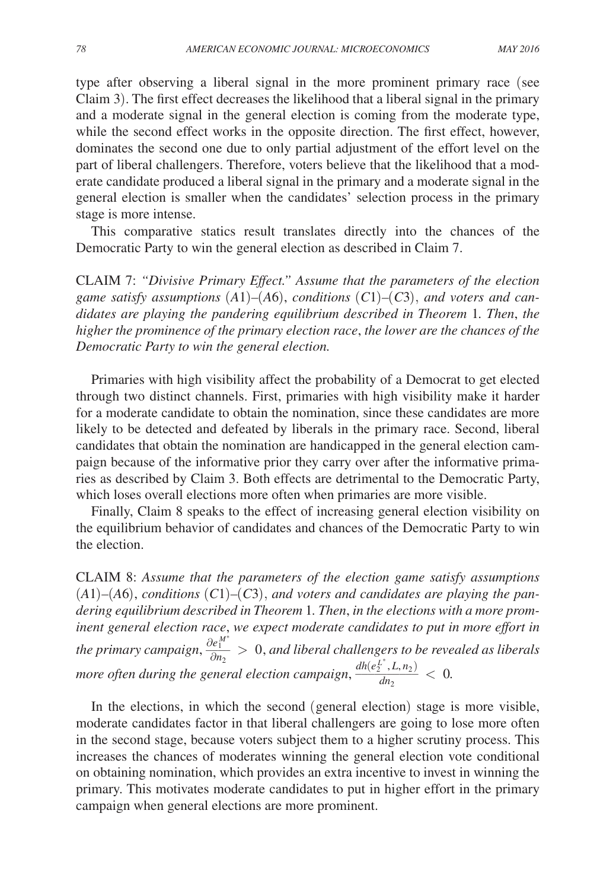type after observing a liberal signal in the more prominent primary race (see Claim 3). The first effect decreases the likelihood that a liberal signal in the primary and a moderate signal in the general election is coming from the moderate type, while the second effect works in the opposite direction. The first effect, however, dominates the second one due to only partial adjustment of the effort level on the part of liberal challengers. Therefore, voters believe that the likelihood that a moderate candidate produced a liberal signal in the primary and a moderate signal in the general election is smaller when the candidates' selection process in the primary stage is more intense.

This comparative statics result translates directly into the chances of the Democratic Party to win the general election as described in Claim 7.

Claim 7: *"Divisive Primary Effect." Assume that the parameters of the election*  game satisfy assumptions  $(A1)$ – $(A6)$ , conditions  $(C1)$ – $(C3)$ , and voters and can*didates are playing the pandering equilibrium described in Theorem* 1*. Then*, *the higher the prominence of the primary election race*, *the lower are the chances of the Democratic Party to win the general election.*

Primaries with high visibility affect the probability of a Democrat to get elected through two distinct channels. First, primaries with high visibility make it harder for a moderate candidate to obtain the nomination, since these candidates are more likely to be detected and defeated by liberals in the primary race. Second, liberal candidates that obtain the nomination are handicapped in the general election campaign because of the informative prior they carry over after the informative primaries as described by Claim 3. Both effects are detrimental to the Democratic Party, which loses overall elections more often when primaries are more visible.

Finally, Claim 8 speaks to the effect of increasing general election visibility on the equilibrium behavior of candidates and chances of the Democratic Party to win the election.

Claim 8: *Assume that the parameters of the election game satisfy assumptions*   $(A1)$ – $(A6)$ , *conditions*  $(C1)$ – $(C3)$ , *and voters and candidates are playing the pandering equilibrium described in Theorem* 1*. Then*, *in the elections with a more prominent general election race*, *we expect moderate candidates to put in more effort in*  the primary campaign,  $\frac{\partial e_1^{M^*}}{\partial n_2} > 0$ , and liberal challengers to be revealed as liberals *more often during the general election campaign*,  $\frac{dh(e_2^{L^*}, L, n_2)}{dn_2} < 0$ .

In the elections, in which the second (general election) stage is more visible, moderate candidates factor in that liberal challengers are going to lose more often in the second stage, because voters subject them to a higher scrutiny process. This increases the chances of moderates winning the general election vote conditional on obtaining nomination, which provides an extra incentive to invest in winning the primary. This motivates moderate candidates to put in higher effort in the primary campaign when general elections are more prominent.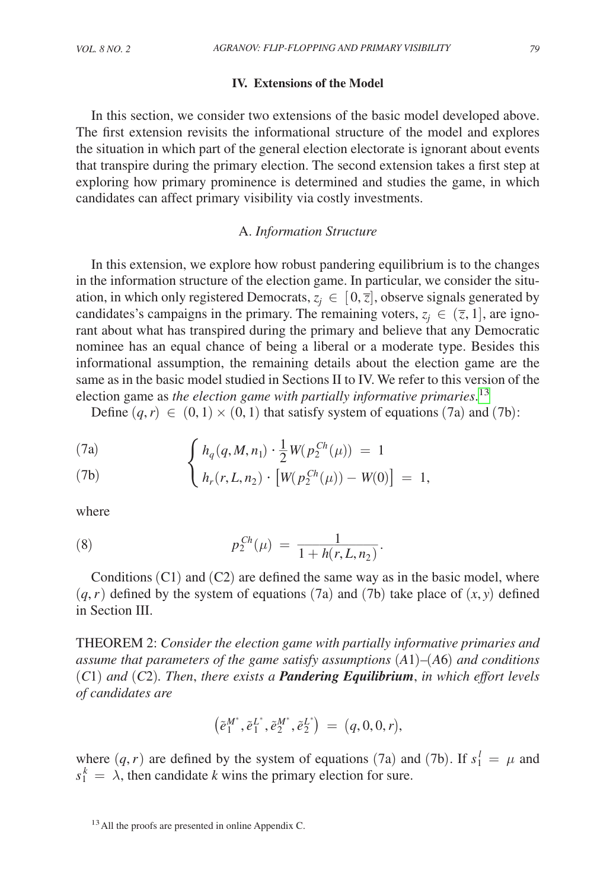### **IV. Extensions of the Model**

In this section, we consider two extensions of the basic model developed above. The first extension revisits the informational structure of the model and explores the situation in which part of the general election electorate is ignorant about events that transpire during the primary election. The second extension takes a first step at exploring how primary prominence is determined and studies the game, in which candidates can affect primary visibility via costly investments.

### A. *Information Structure*

In this extension, we explore how robust pandering equilibrium is to the changes in the information structure of the election game. In particular, we consider the situation, in which only registered Democrats,  $z_i \in [0, \overline{z}]$ , observe signals generated by candidates's campaigns in the primary. The remaining voters,  $z_i \in (\overline{z}, 1]$ , are ignorant about what has transpired during the primary and believe that any Democratic nominee has an equal chance of being a liberal or a moderate type. Besides this informational assumption, the remaining details about the election game are the same as in the basic model studied in Sections II to IV. We refer to this version of the election game as *the election game with partially informative primaries*. [13](#page-18-0)

Define  $(q, r) \in (0, 1) \times (0, 1)$  that satisfy system of equations (7a) and (7b):

(7a) 
$$
\int h_q(q, M, n_1) \cdot \frac{1}{2} W(p_2^{Ch}(\mu)) = 1
$$

Define 
$$
(q, r) \in (0, 1) \times (0, 1)
$$
 that satisfy system of equation  
\n(7a)  
\n
$$
\begin{cases}\n h_q(q, M, n_1) \cdot \frac{1}{2} W(p_2^{Ch}(\mu)) = 1 \\
 h_r(r, L, n_2) \cdot [W(p_2^{Ch}(\mu)) - W(0)] = 1,\n\end{cases}
$$

where

(8) 
$$
p_2^{Ch}(\mu) = \frac{1}{1 + h(r, L, n_2)}.
$$

Conditions  $(C1)$  and  $(C2)$  are defined the same way as in the basic model, where  $(q, r)$  defined by the system of equations (7a) and (7b) take place of  $(x, y)$  defined in Section III.

Theorem 2: *Consider the election game with partially informative primaries and assume that parameters of the game satisfy assumptions* (*A*1)*–*(*A*6) *and conditions*  (*C*1) *and* (*C*2)*. Then*, *there exists a Pandering Equilibrium*, *in which effort levels of candidates are*

$$
\big( \widetilde{e}^{M^*}_1, \widetilde{e}^{L^*}_1, \widetilde{e}^{M^*}_2, \widetilde{e}^{L^*}_2 \big) \ = \ \big( q, 0, 0, r \big),
$$

where  $(q, r)$  are defined by the system of equations (7a) and (7b). If  $s_1^l = \mu$  and  $s_1^k = \lambda$ , then candidate *k* wins the primary election for sure.

<span id="page-18-0"></span><sup>&</sup>lt;sup>13</sup> All the proofs are presented in online Appendix C.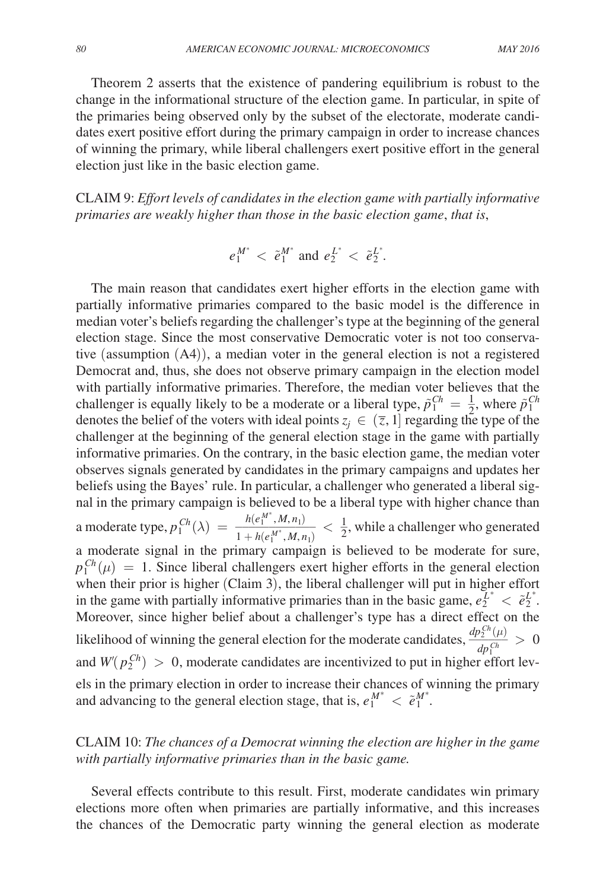Theorem 2 asserts that the existence of pandering equilibrium is robust to the change in the informational structure of the election game. In particular, in spite of the primaries being observed only by the subset of the electorate, moderate candidates exert positive effort during the primary campaign in order to increase chances of winning the primary, while liberal challengers exert positive effort in the general election just like in the basic election game.

Claim 9: *Effort levels of candidates in the election game with partially informative primaries are weakly higher than those in the basic election game*, *that is*,

$$
e_1^{M^*} < \tilde{e}_1^{M^*}
$$
 and  $e_2^{L^*} < \tilde{e}_2^{L^*}$ 

.

The main reason that candidates exert higher efforts in the election game with partially informative primaries compared to the basic model is the difference in median voter's beliefs regarding the challenger's type at the beginning of the general election stage. Since the most conservative Democratic voter is not too conservative (assumption (A4)), a median voter in the general election is not a registered Democrat and, thus, she does not observe primary campaign in the election model with partially informative primaries. Therefore, the median voter believes that the challenger is equally likely to be a moderate or a liberal type,  $\tilde{p}_1^{Ch} = \frac{1}{2}$ , where  $\tilde{p}_1^{Ch}$ denotes the belief of the voters with ideal points  $z_i \in (\overline{z}, 1]$  regarding the type of the challenger at the beginning of the general election stage in the game with partially informative primaries. On the contrary, in the basic election game, the median voter observes signals generated by candidates in the primary campaigns and updates her beliefs using the Bayes' rule. In particular, a challenger who generated a liberal signal in the primary campaign is believed to be a liberal type with higher chance than a moderate type,  $p_1^{Ch}(\lambda) = \frac{h(e_1^{M^*})}{1 + h(e_1)}$ is believed to be<br>  $\frac{h(e_1^{M^*}, M, n_1)}{1 + h(e_1^{M^*}, M, n_1)}$ <br>
imary campaign  $\frac{M, M, n_1}{M^*, M, n_1}$  <  $\frac{1}{2}$ , while a challenger who generated a moderate signal in the primary campaign is believed to be moderate for sure,  $p_1^{Ch}(\mu) = 1$ . Since liberal challengers exert higher efforts in the general election when their prior is higher (Claim 3), the liberal challenger will put in higher effort in the game with partially informative primaries than in the basic game,  $e_2^{L^*} < e_2^{L^*}$ . Moreover, since higher belief about a challenger's type has a direct effect on the likelihood of winning the general election for the moderate candidates,  $\frac{dp_L^{Ch}(\mu)}{L_c(h)}$  $\frac{d^{2}(\mu)}{dp_1^{Ch}} > 0$ and  $W(p_2^{Ch}) > 0$ , moderate candidates are incentivized to put in higher effort levels in the primary election in order to increase their chances of winning the primary and advancing to the general election stage, that is,  $e_1^{M^*} < \tilde{e}_1^{M^*}$ .

# Claim 10: *The chances of a Democrat winning the election are higher in the game with partially informative primaries than in the basic game.*

Several effects contribute to this result. First, moderate candidates win primary elections more often when primaries are partially informative, and this increases the chances of the Democratic party winning the general election as moderate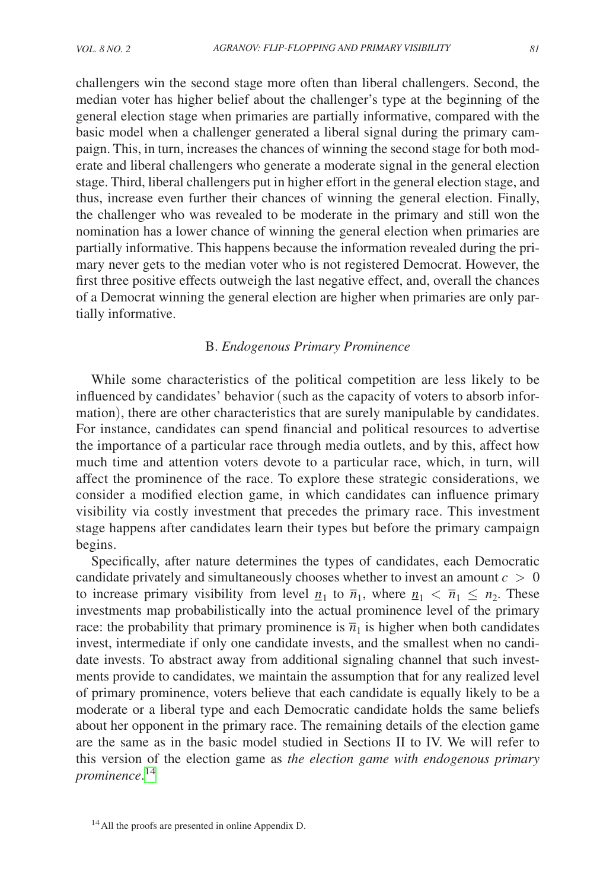challengers win the second stage more often than liberal challengers. Second, the median voter has higher belief about the challenger's type at the beginning of the general election stage when primaries are partially informative, compared with the basic model when a challenger generated a liberal signal during the primary campaign. This, in turn, increases the chances of winning the second stage for both moderate and liberal challengers who generate a moderate signal in the general election stage. Third, liberal challengers put in higher effort in the general election stage, and thus, increase even further their chances of winning the general election. Finally, the challenger who was revealed to be moderate in the primary and still won the nomination has a lower chance of winning the general election when primaries are partially informative. This happens because the information revealed during the primary never gets to the median voter who is not registered Democrat. However, the first three positive effects outweigh the last negative effect, and, overall the chances of a Democrat winning the general election are higher when primaries are only partially informative.

# B. *Endogenous Primary Prominence*

While some characteristics of the political competition are less likely to be influenced by candidates' behavior (such as the capacity of voters to absorb information), there are other characteristics that are surely manipulable by candidates. For instance, candidates can spend financial and political resources to advertise the importance of a particular race through media outlets, and by this, affect how much time and attention voters devote to a particular race, which, in turn, will affect the prominence of the race. To explore these strategic considerations, we consider a modified election game, in which candidates can influence primary visibility via costly investment that precedes the primary race. This investment stage happens after candidates learn their types but before the primary campaign begins.

Specifically, after nature determines the types of candidates, each Democratic candidate privately and simultaneously chooses whether to invest an amount  $c > 0$ to increase primary visibility from level  $\underline{n}_1$  to  $\overline{n}_1$ , where  $\underline{n}_1 < \overline{n}_1 \le n_2$ . These to increase primary visibility from level  $n_1$  to  $n_1$ , where  $n_1 < n_1 \le n_2$ . These investments map probabilistically into the actual prominence level of the primary race: the probability that primary prominence is  $\overline{n}_1$  is higher when both candidates invest, intermediate if only one candidate invests, and the smallest when no candidate invests. To abstract away from additional signaling channel that such investments provide to candidates, we maintain the assumption that for any realized level of primary prominence, voters believe that each candidate is equally likely to be a moderate or a liberal type and each Democratic candidate holds the same beliefs about her opponent in the primary race. The remaining details of the election game are the same as in the basic model studied in Sections II to IV. We will refer to this version of the election game as *the election game with endogenous primary prominence*. [14](#page-20-0)

<span id="page-20-0"></span><sup>&</sup>lt;sup>14</sup> All the proofs are presented in online Appendix D.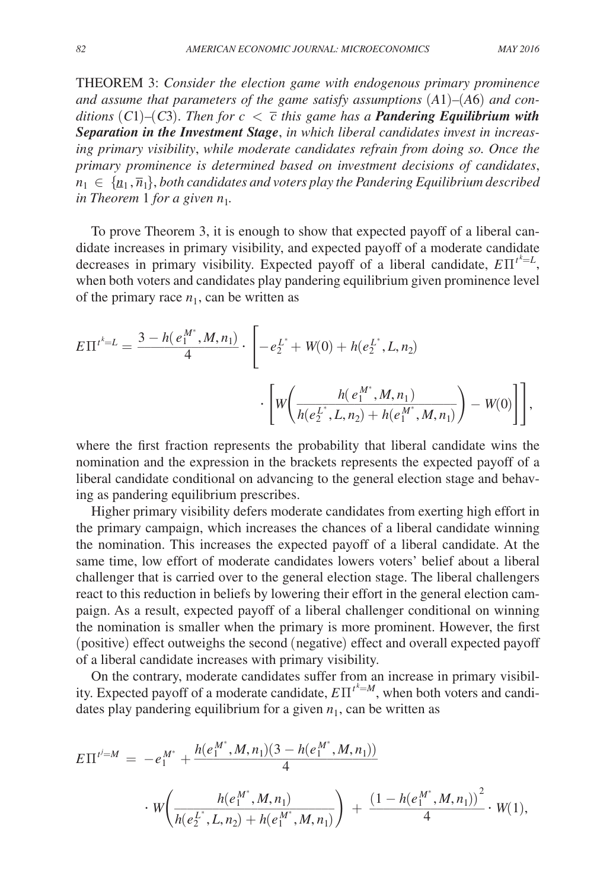THEOREM 3: *Consider the election game with endogenous primary prominence and assume that parameters of the game satisfy assumptions* (*A*1)*–*(*A*6) *and conditions* (C1)–(C3). Then for  $c < \overline{c}$  this game has a **Pandering Equilibrium with** *Separation in the Investment Stage*, *in which liberal candidates invest in increasing primary visibility*, *while moderate candidates refrain from doing so. Once the primary prominence is determined based on investment decisions of candidates*,  $n_1 \in \{n_1, \overline{n}_1\}$ , both candidates and voters play the Pandering Equilibrium described *in Theorem 1 for a given*  $n_1$ *.* 

To prove Theorem 3, it is enough to show that expected payoff of a liberal candidate increases in primary visibility, and expected payoff of a moderate candidate decreases in primary visibility. Expected payoff of a liberal candidate,  $E\Pi^{t^k=L}$ , when both voters and candidates play pandering equilibrium given prominence level of the primary race  $n_1$ , can be written as

$$
E\Pi^{t^{k}=L} = \frac{3 - h(e_1^{M^*}, M, n_1)}{4} \cdot \left[ -e_2^{L^*} + W(0) + h(e_2^{L^*}, L, n_2) \right]
$$

$$
\cdot \left[ W\left(\frac{h(e_1^{M^*}, M, n_1)}{h(e_2^{L^*}, L, n_2) + h(e_1^{M^*}, M, n_1)}\right) - W(0) \right] \right],
$$

where the first fraction represents the probability that liberal candidate wins the nomination and the expression in the brackets represents the expected payoff of a liberal candidate conditional on advancing to the general election stage and behaving as pandering equilibrium prescribes.

Higher primary visibility defers moderate candidates from exerting high effort in the primary campaign, which increases the chances of a liberal candidate winning the nomination. This increases the expected payoff of a liberal candidate. At the same time, low effort of moderate candidates lowers voters' belief about a liberal challenger that is carried over to the general election stage. The liberal challengers react to this reduction in beliefs by lowering their effort in the general election campaign. As a result, expected payoff of a liberal challenger conditional on winning the nomination is smaller when the primary is more prominent. However, the first (positive) effect outweighs the second (negative) effect and overall expected payoff of a liberal candidate increases with primary visibility.

On the contrary, moderate candidates suffer from an increase in primary visibility. Expected payoff of a moderate candidate,  $E \Pi^{t^k=M}$ , when both voters and candi-

states play pandering equilibrium for a given 
$$
n_1
$$
, can be written as

\n
$$
E\Pi^{i=M} = -e_1^{M^*} + \frac{h(e_1^{M^*}, M, n_1)(3 - h(e_1^{M^*}, M, n_1))}{4}
$$
\n
$$
\cdot W\left(\frac{h(e_1^{M^*}, M, n_1)}{h(e_2^{L^*}, L, n_2) + h(e_1^{M^*}, M, n_1)}\right) + \frac{(1 - h(e_1^{M^*}, M, n_1))}{4} \cdot W(1),
$$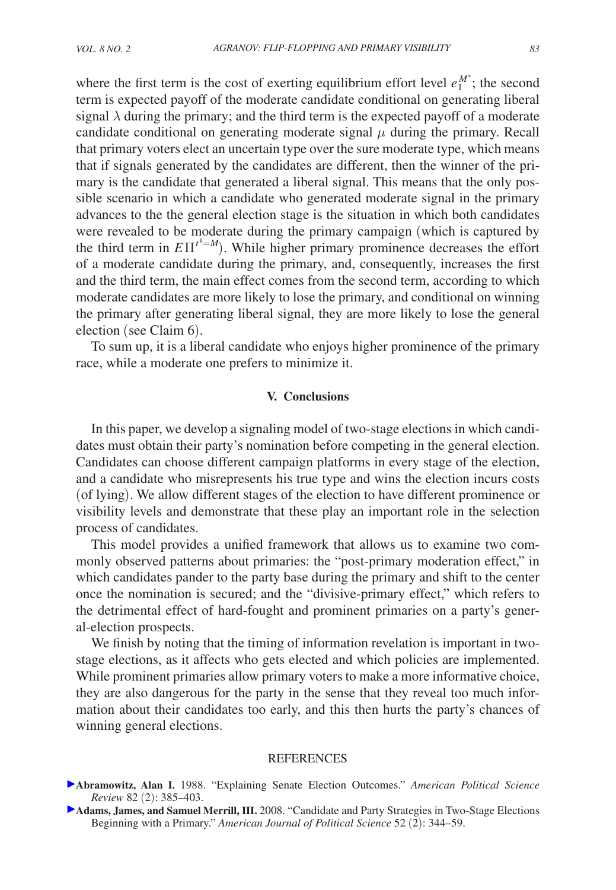where the first term is the cost of exerting equilibrium effort level  $e_1^{M^*}$ ; the second term is expected payoff of the moderate candidate conditional on generating liberal signal  $\lambda$  during the primary; and the third term is the expected payoff of a moderate candidate conditional on generating moderate signal  $\mu$  during the primary. Recall that primary voters elect an uncertain type over the sure moderate type, which means that if signals generated by the candidates are different, then the winner of the primary is the candidate that generated a liberal signal. This means that the only possible scenario in which a candidate who generated moderate signal in the primary advances to the the general election stage is the situation in which both candidates were revealed to be moderate during the primary campaign (which is captured by the third term in  $E\Pi^{t^k=M}$ ). While higher primary prominence decreases the effort of a moderate candidate during the primary, and, consequently, increases the first and the third term, the main effect comes from the second term, according to which moderate candidates are more likely to lose the primary, and conditional on winning the primary after generating liberal signal, they are more likely to lose the general election (see Claim 6).

To sum up, it is a liberal candidate who enjoys higher prominence of the primary race, while a moderate one prefers to minimize it.

### **V. Conclusions**

In this paper, we develop a signaling model of two-stage elections in which candidates must obtain their party's nomination before competing in the general election. Candidates can choose different campaign platforms in every stage of the election, and a candidate who misrepresents his true type and wins the election incurs costs (of lying). We allow different stages of the election to have different prominence or visibility levels and demonstrate that these play an important role in the selection process of candidates.

This model provides a unified framework that allows us to examine two commonly observed patterns about primaries: the "post-primary moderation effect," in which candidates pander to the party base during the primary and shift to the center once the nomination is secured; and the "divisive-primary effect," which refers to the detrimental effect of hard-fought and prominent primaries on a party's general-election prospects.

We finish by noting that the timing of information revelation is important in twostage elections, as it affects who gets elected and which policies are implemented. While prominent primaries allow primary voters to make a more informative choice, they are also dangerous for the party in the sense that they reveal too much information about their candidates too early, and this then hurts the party's chances of winning general elections.

#### **REFERENCES**

- **Abramowitz, Alan I.** 1988. "Explaining Senate Election Outcomes." *American Political Science Review* 82 (2): 385–403.
- **Adams, James, and Samuel Merrill, III.** 2008. "Candidate and Party Strategies in Two-Stage Elections Beginning with a Primary." *American Journal of Political Science* 52 (2): 344–59.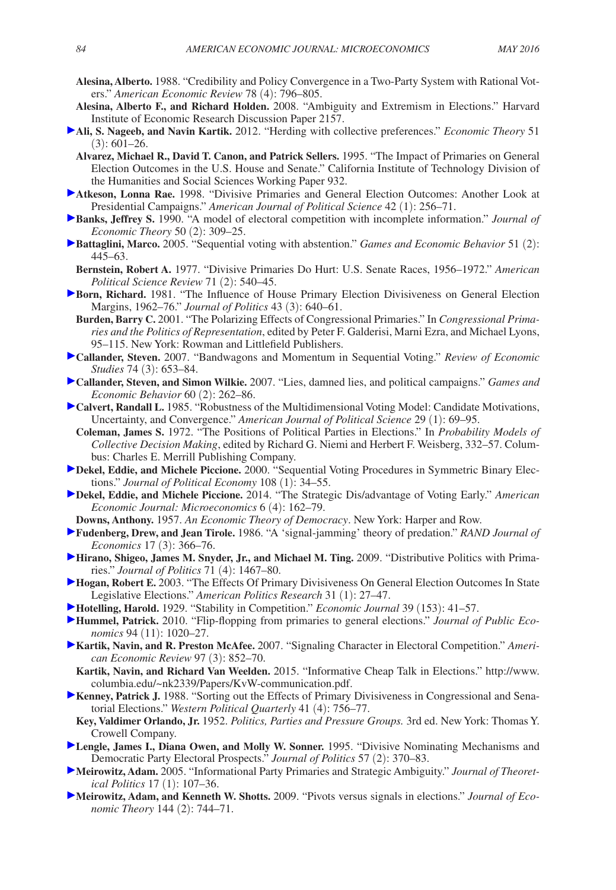- **Alesina, Alberto.** 1988. "Credibility and Policy Convergence in a Two-Party System with Rational Voters." *American Economic Review* 78 (4): 796–805.
- **Alesina, Alberto F., and Richard Holden.** 2008. "Ambiguity and Extremism in Elections." Harvard Institute of Economic Research Discussion Paper 2157.
- **Ali, S. Nageeb, and Navin Kartik.** 2012. "Herding with collective preferences." *Economic Theory* 51  $(3): 601 - 26.$
- **Alvarez, Michael R., David T. Canon, and Patrick Sellers.** 1995. "The Impact of Primaries on General Election Outcomes in the U.S. House and Senate." California Institute of Technology Division of the Humanities and Social Sciences Working Paper 932.
- **Atkeson, Lonna Rae.** 1998. "Divisive Primaries and General Election Outcomes: Another Look at Presidential Campaigns." *American Journal of Political Science* 42 (1): 256–71.
- **Banks, Jeffrey S.** 1990. "A model of electoral competition with incomplete information." *Journal of Economic Theory* 50 (2): 309–25.
- **Battaglini, Marco.** 2005. "Sequential voting with abstention." *Games and Economic Behavior* 51 (2): 445–63.
- **Bernstein, Robert A.** 1977. "Divisive Primaries Do Hurt: U.S. Senate Races, 1956–1972." *American Political Science Review* 71 (2): 540–45.
- **Born, Richard.** 1981. "The Influence of House Primary Election Divisiveness on General Election Margins, 1962–76." *Journal of Politics* 43 (3): 640–61.
- **Burden, Barry C.** 2001. "The Polarizing Effects of Congressional Primaries." In *Congressional Primaries and the Politics of Representation*, edited by Peter F. Galderisi, Marni Ezra, and Michael Lyons, 95–115. New York: Rowman and Littlefield Publishers.
- **Callander, Steven.** 2007. "Bandwagons and Momentum in Sequential Voting." *Review of Economic Studies* 74 (3): 653–84.
- **Callander, Steven, and Simon Wilkie.** 2007. "Lies, damned lies, and political campaigns." *Games and Economic Behavior* 60 (2): 262–86.
- **Calvert, Randall L.** 1985. "Robustness of the Multidimensional Voting Model: Candidate Motivations, Uncertainty, and Convergence." *American Journal of Political Science* 29 (1): 69–95.
- **Coleman, James S.** 1972. "The Positions of Political Parties in Elections." In *Probability Models of Collective Decision Making*, edited by Richard G. Niemi and Herbert F. Weisberg, 332–57. Columbus: Charles E. Merrill Publishing Company.
- **Dekel, Eddie, and Michele Piccione.** 2000. "Sequential Voting Procedures in Symmetric Binary Elections." *Journal of Political Economy* 108 (1): 34–55.
- **Dekel, Eddie, and Michele Piccione.** 2014. "The Strategic Dis/advantage of Voting Early." *American Economic Journal: Microeconomics* 6 (4): 162–79.
- **Downs, Anthony.** 1957. *An Economic Theory of Democracy*. New York: Harper and Row.
- **Fudenberg, Drew, and Jean Tirole.** 1986. "A 'signal-jamming' theory of predation." *RAND Journal of Economics* 17 (3): 366–76.
- **Hirano, Shigeo, James M. Snyder, Jr., and Michael M. Ting.** 2009. "Distributive Politics with Primaries." *Journal of Politics* 71 (4): 1467–80.
- **Hogan, Robert E.** 2003. "The Effects Of Primary Divisiveness On General Election Outcomes In State Legislative Elections." *American Politics Research* 31 (1): 27–47.
- **Hotelling, Harold.** 1929. "Stability in Competition." *Economic Journal* 39 (153): 41–57.
- **Hummel, Patrick.** 2010. "Flip-flopping from primaries to general elections." *Journal of Public Economics* 94 (11): 1020–27.
- **Kartik, Navin, and R. Preston McAfee.** 2007. "Signaling Character in Electoral Competition." *American Economic Review* 97 (3): 852–70.
	- **Kartik, Navin, and Richard Van Weelden.** [2015. "Informative Cheap Talk in Elections." http://www.](http://www.columbia.edu/~nk2339/Papers/KvW-communication.pdf) columbia.edu/~nk2339/Papers/KvW-communication.pdf.
- **Kenney, Patrick J. 1988. "Sorting out the Effects of Primary Divisiveness in Congressional and Sena**torial Elections." *Western Political Quarterly* 41 (4): 756–77.
- **Key, Valdimer Orlando, Jr.** 1952. *Politics, Parties and Pressure Groups.* 3rd ed. New York: Thomas Y. Crowell Company.
- **Lengle, James I., Diana Owen, and Molly W. Sonner.** 1995. "Divisive Nominating Mechanisms and Democratic Party Electoral Prospects." *Journal of Politics* 57 (2): 370–83.
- **Meirowitz, Adam.** 2005. "Informational Party Primaries and Strategic Ambiguity." *Journal of Theoretical Politics* 17 (1): 107–36.
- **Meirowitz, Adam, and Kenneth W. Shotts.** 2009. "Pivots versus signals in elections." *Journal of Economic Theory* 144 (2): 744–71.